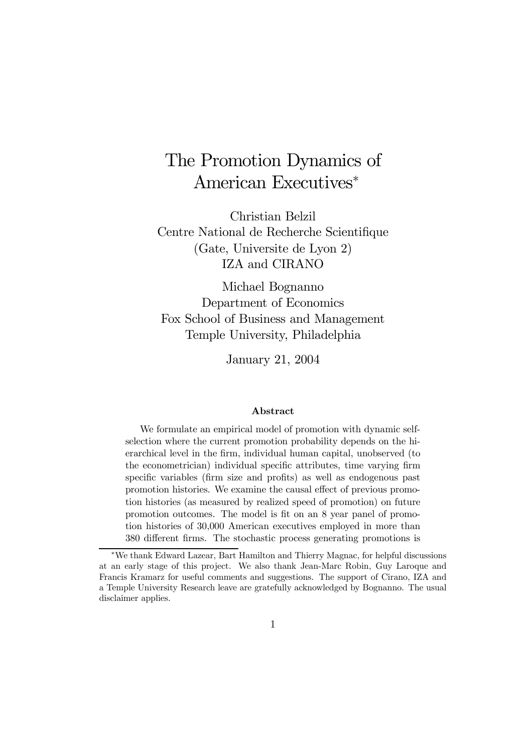# The Promotion Dynamics of American Executives<sup>∗</sup>

Christian Belzil Centre National de Recherche Scientifique (Gate, Universite de Lyon 2) IZA and CIRANO

Michael Bognanno Department of Economics Fox School of Business and Management Temple University, Philadelphia

January 21, 2004

#### Abstract

We formulate an empirical model of promotion with dynamic selfselection where the current promotion probability depends on the hierarchical level in the firm, individual human capital, unobserved (to the econometrician) individual specific attributes, time varying firm specific variables (firm size and profits) as well as endogenous past promotion histories. We examine the causal effect of previous promotion histories (as measured by realized speed of promotion) on future promotion outcomes. The model is fit on an 8 year panel of promotion histories of 30,000 American executives employed in more than 380 different firms. The stochastic process generating promotions is

<sup>∗</sup>We thank Edward Lazear, Bart Hamilton and Thierry Magnac, for helpful discussions at an early stage of this project. We also thank Jean-Marc Robin, Guy Laroque and Francis Kramarz for useful comments and suggestions. The support of Cirano, IZA and a Temple University Research leave are gratefully acknowledged by Bognanno. The usual disclaimer applies.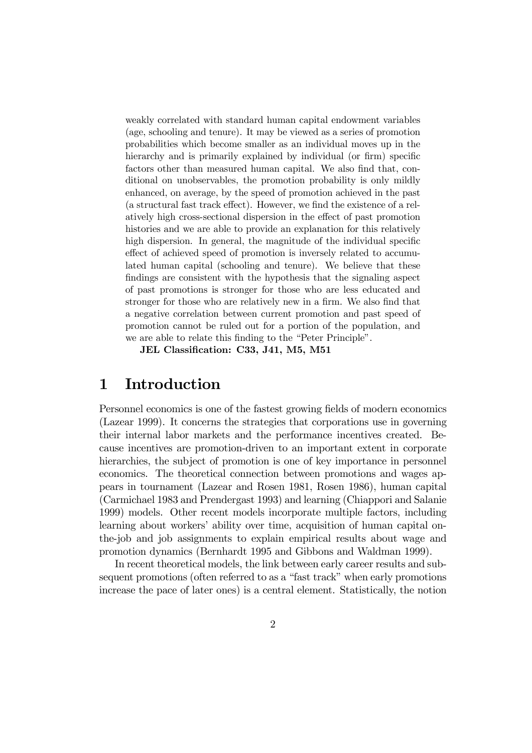weakly correlated with standard human capital endowment variables (age, schooling and tenure). It may be viewed as a series of promotion probabilities which become smaller as an individual moves up in the hierarchy and is primarily explained by individual (or firm) specific factors other than measured human capital. We also find that, conditional on unobservables, the promotion probability is only mildly enhanced, on average, by the speed of promotion achieved in the past (a structural fast track effect). However, we find the existence of a relatively high cross-sectional dispersion in the effect of past promotion histories and we are able to provide an explanation for this relatively high dispersion. In general, the magnitude of the individual specific effect of achieved speed of promotion is inversely related to accumulated human capital (schooling and tenure). We believe that these findings are consistent with the hypothesis that the signaling aspect of past promotions is stronger for those who are less educated and stronger for those who are relatively new in a firm. We also find that a negative correlation between current promotion and past speed of promotion cannot be ruled out for a portion of the population, and we are able to relate this finding to the "Peter Principle".

JEL Classification: C33, J41, M5, M51

## 1 Introduction

Personnel economics is one of the fastest growing fields of modern economics (Lazear 1999). It concerns the strategies that corporations use in governing their internal labor markets and the performance incentives created. Because incentives are promotion-driven to an important extent in corporate hierarchies, the subject of promotion is one of key importance in personnel economics. The theoretical connection between promotions and wages appears in tournament (Lazear and Rosen 1981, Rosen 1986), human capital (Carmichael 1983 and Prendergast 1993) and learning (Chiappori and Salanie 1999) models. Other recent models incorporate multiple factors, including learning about workers' ability over time, acquisition of human capital onthe-job and job assignments to explain empirical results about wage and promotion dynamics (Bernhardt 1995 and Gibbons and Waldman 1999).

In recent theoretical models, the link between early career results and subsequent promotions (often referred to as a "fast track" when early promotions increase the pace of later ones) is a central element. Statistically, the notion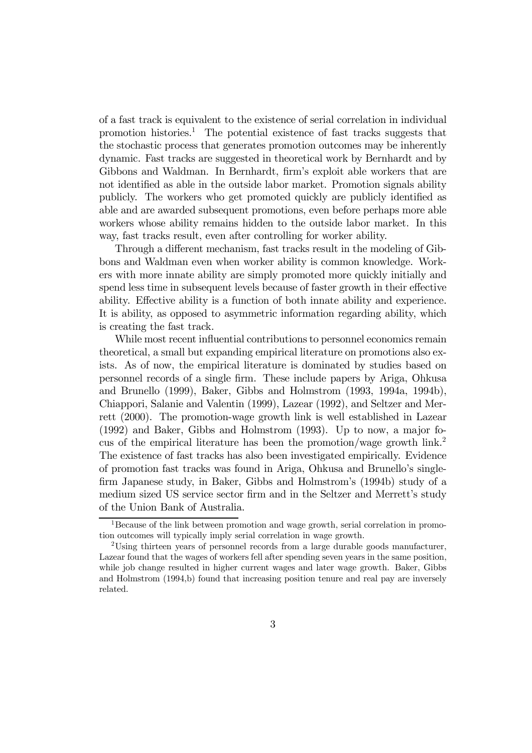of a fast track is equivalent to the existence of serial correlation in individual promotion histories.<sup>1</sup> The potential existence of fast tracks suggests that the stochastic process that generates promotion outcomes may be inherently dynamic. Fast tracks are suggested in theoretical work by Bernhardt and by Gibbons and Waldman. In Bernhardt, firm's exploit able workers that are not identified as able in the outside labor market. Promotion signals ability publicly. The workers who get promoted quickly are publicly identified as able and are awarded subsequent promotions, even before perhaps more able workers whose ability remains hidden to the outside labor market. In this way, fast tracks result, even after controlling for worker ability.

Through a different mechanism, fast tracks result in the modeling of Gibbons and Waldman even when worker ability is common knowledge. Workers with more innate ability are simply promoted more quickly initially and spend less time in subsequent levels because of faster growth in their effective ability. Effective ability is a function of both innate ability and experience. It is ability, as opposed to asymmetric information regarding ability, which is creating the fast track.

While most recent influential contributions to personnel economics remain theoretical, a small but expanding empirical literature on promotions also exists. As of now, the empirical literature is dominated by studies based on personnel records of a single firm. These include papers by Ariga, Ohkusa and Brunello (1999), Baker, Gibbs and Holmstrom (1993, 1994a, 1994b), Chiappori, Salanie and Valentin (1999), Lazear (1992), and Seltzer and Merrett (2000). The promotion-wage growth link is well established in Lazear (1992) and Baker, Gibbs and Holmstrom (1993). Up to now, a major focus of the empirical literature has been the promotion/wage growth link.2 The existence of fast tracks has also been investigated empirically. Evidence of promotion fast tracks was found in Ariga, Ohkusa and Brunello's singlefirm Japanese study, in Baker, Gibbs and Holmstrom's (1994b) study of a medium sized US service sector firm and in the Seltzer and Merrett's study of the Union Bank of Australia.

<sup>&</sup>lt;sup>1</sup>Because of the link between promotion and wage growth, serial correlation in promotion outcomes will typically imply serial correlation in wage growth.

<sup>&</sup>lt;sup>2</sup>Using thirteen years of personnel records from a large durable goods manufacturer, Lazear found that the wages of workers fell after spending seven years in the same position, while job change resulted in higher current wages and later wage growth. Baker, Gibbs and Holmstrom (1994,b) found that increasing position tenure and real pay are inversely related.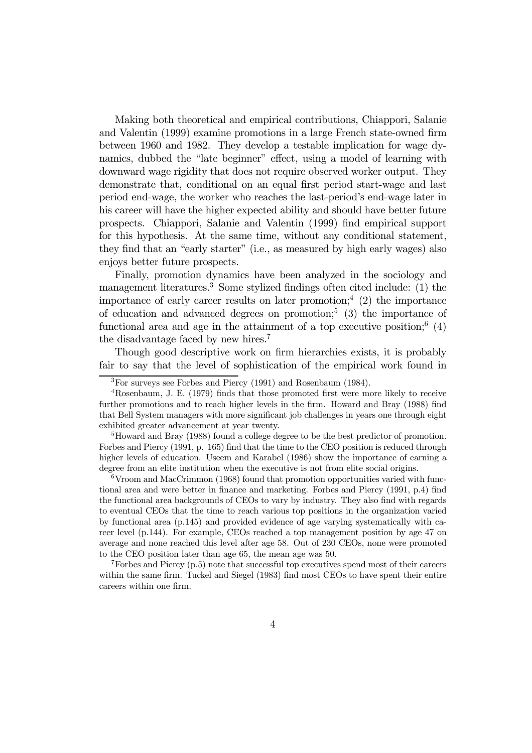Making both theoretical and empirical contributions, Chiappori, Salanie and Valentin (1999) examine promotions in a large French state-owned firm between 1960 and 1982. They develop a testable implication for wage dynamics, dubbed the "late beginner" effect, using a model of learning with downward wage rigidity that does not require observed worker output. They demonstrate that, conditional on an equal first period start-wage and last period end-wage, the worker who reaches the last-period's end-wage later in his career will have the higher expected ability and should have better future prospects. Chiappori, Salanie and Valentin (1999) find empirical support for this hypothesis. At the same time, without any conditional statement, they find that an "early starter" (i.e., as measured by high early wages) also enjoys better future prospects.

Finally, promotion dynamics have been analyzed in the sociology and management literatures.<sup>3</sup> Some stylized findings often cited include: (1) the importance of early career results on later promotion;<sup>4</sup> (2) the importance of education and advanced degrees on promotion;<sup>5</sup> (3) the importance of functional area and age in the attainment of a top executive position;  $(4)$ the disadvantage faced by new hires.7

Though good descriptive work on firm hierarchies exists, it is probably fair to say that the level of sophistication of the empirical work found in

5Howard and Bray (1988) found a college degree to be the best predictor of promotion. Forbes and Piercy (1991, p. 165) find that the time to the CEO position is reduced through higher levels of education. Useem and Karabel (1986) show the importance of earning a degree from an elite institution when the executive is not from elite social origins.

6Vroom and MacCrimmon (1968) found that promotion opportunities varied with functional area and were better in finance and marketing. Forbes and Piercy (1991, p.4) find the functional area backgrounds of CEOs to vary by industry. They also find with regards to eventual CEOs that the time to reach various top positions in the organization varied by functional area (p.145) and provided evidence of age varying systematically with career level (p.144). For example, CEOs reached a top management position by age 47 on average and none reached this level after age 58. Out of 230 CEOs, none were promoted to the CEO position later than age 65, the mean age was 50.

 $7$ Forbes and Piercy (p.5) note that successful top executives spend most of their careers within the same firm. Tuckel and Siegel (1983) find most CEOs to have spent their entire careers within one firm.

<sup>3</sup>For surveys see Forbes and Piercy (1991) and Rosenbaum (1984).

<sup>4</sup>Rosenbaum, J. E. (1979) finds that those promoted first were more likely to receive further promotions and to reach higher levels in the firm. Howard and Bray (1988) find that Bell System managers with more significant job challenges in years one through eight exhibited greater advancement at year twenty.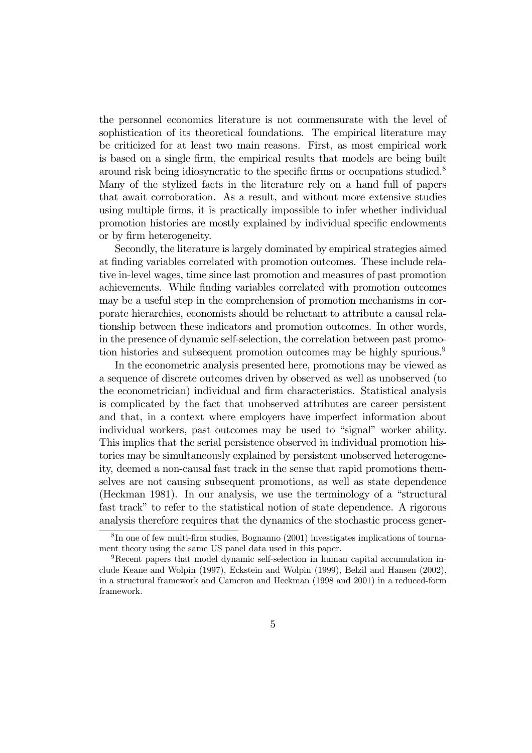the personnel economics literature is not commensurate with the level of sophistication of its theoretical foundations. The empirical literature may be criticized for at least two main reasons. First, as most empirical work is based on a single firm, the empirical results that models are being built around risk being idiosyncratic to the specific firms or occupations studied.8 Many of the stylized facts in the literature rely on a hand full of papers that await corroboration. As a result, and without more extensive studies using multiple firms, it is practically impossible to infer whether individual promotion histories are mostly explained by individual specific endowments or by firm heterogeneity.

Secondly, the literature is largely dominated by empirical strategies aimed at finding variables correlated with promotion outcomes. These include relative in-level wages, time since last promotion and measures of past promotion achievements. While finding variables correlated with promotion outcomes may be a useful step in the comprehension of promotion mechanisms in corporate hierarchies, economists should be reluctant to attribute a causal relationship between these indicators and promotion outcomes. In other words, in the presence of dynamic self-selection, the correlation between past promotion histories and subsequent promotion outcomes may be highly spurious.<sup>9</sup>

In the econometric analysis presented here, promotions may be viewed as a sequence of discrete outcomes driven by observed as well as unobserved (to the econometrician) individual and firm characteristics. Statistical analysis is complicated by the fact that unobserved attributes are career persistent and that, in a context where employers have imperfect information about individual workers, past outcomes may be used to "signal" worker ability. This implies that the serial persistence observed in individual promotion histories may be simultaneously explained by persistent unobserved heterogeneity, deemed a non-causal fast track in the sense that rapid promotions themselves are not causing subsequent promotions, as well as state dependence (Heckman 1981). In our analysis, we use the terminology of a "structural fast track" to refer to the statistical notion of state dependence. A rigorous analysis therefore requires that the dynamics of the stochastic process gener-

<sup>8</sup> In one of few multi-firm studies, Bognanno (2001) investigates implications of tournament theory using the same US panel data used in this paper.

<sup>9</sup>Recent papers that model dynamic self-selection in human capital accumulation include Keane and Wolpin (1997), Eckstein and Wolpin (1999), Belzil and Hansen (2002), in a structural framework and Cameron and Heckman (1998 and 2001) in a reduced-form framework.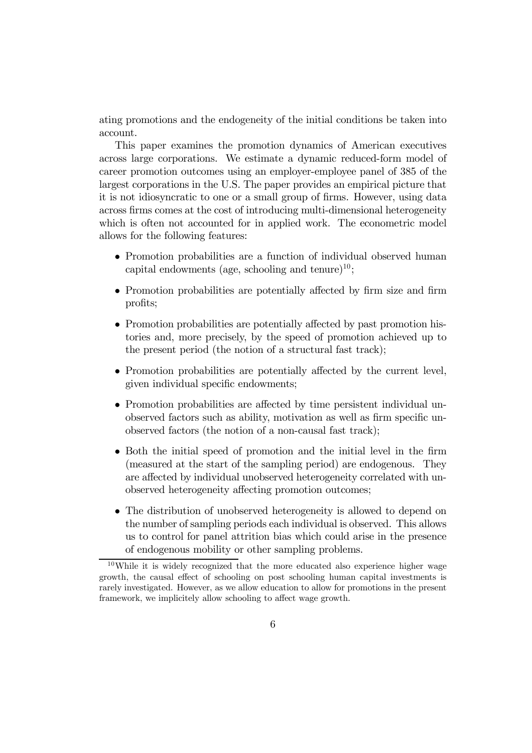ating promotions and the endogeneity of the initial conditions be taken into account.

This paper examines the promotion dynamics of American executives across large corporations. We estimate a dynamic reduced-form model of career promotion outcomes using an employer-employee panel of 385 of the largest corporations in the U.S. The paper provides an empirical picture that it is not idiosyncratic to one or a small group of firms. However, using data across firms comes at the cost of introducing multi-dimensional heterogeneity which is often not accounted for in applied work. The econometric model allows for the following features:

- Promotion probabilities are a function of individual observed human capital endowments (age, schooling and tenure)<sup>10</sup>;
- Promotion probabilities are potentially affected by firm size and firm profits;
- Promotion probabilities are potentially affected by past promotion histories and, more precisely, by the speed of promotion achieved up to the present period (the notion of a structural fast track);
- Promotion probabilities are potentially affected by the current level, given individual specific endowments;
- Promotion probabilities are affected by time persistent individual unobserved factors such as ability, motivation as well as firm specific unobserved factors (the notion of a non-causal fast track);
- Both the initial speed of promotion and the initial level in the firm (measured at the start of the sampling period) are endogenous. They are affected by individual unobserved heterogeneity correlated with unobserved heterogeneity affecting promotion outcomes;
- The distribution of unobserved heterogeneity is allowed to depend on the number of sampling periods each individual is observed. This allows us to control for panel attrition bias which could arise in the presence of endogenous mobility or other sampling problems.

<sup>10</sup>While it is widely recognized that the more educated also experience higher wage growth, the causal effect of schooling on post schooling human capital investments is rarely investigated. However, as we allow education to allow for promotions in the present framework, we implicitely allow schooling to affect wage growth.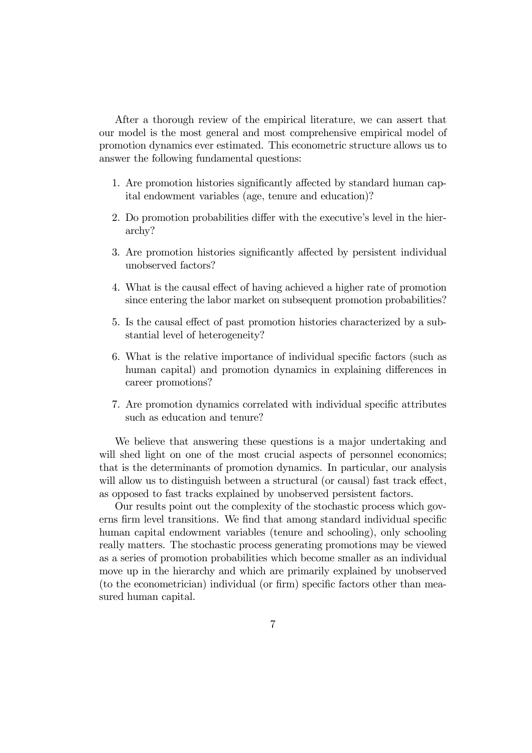After a thorough review of the empirical literature, we can assert that our model is the most general and most comprehensive empirical model of promotion dynamics ever estimated. This econometric structure allows us to answer the following fundamental questions:

- 1. Are promotion histories significantly affected by standard human capital endowment variables (age, tenure and education)?
- 2. Do promotion probabilities differ with the executive's level in the hierarchy?
- 3. Are promotion histories significantly affected by persistent individual unobserved factors?
- 4. What is the causal effect of having achieved a higher rate of promotion since entering the labor market on subsequent promotion probabilities?
- 5. Is the causal effect of past promotion histories characterized by a substantial level of heterogeneity?
- 6. What is the relative importance of individual specific factors (such as human capital) and promotion dynamics in explaining differences in career promotions?
- 7. Are promotion dynamics correlated with individual specific attributes such as education and tenure?

We believe that answering these questions is a major undertaking and will shed light on one of the most crucial aspects of personnel economics; that is the determinants of promotion dynamics. In particular, our analysis will allow us to distinguish between a structural (or causal) fast track effect, as opposed to fast tracks explained by unobserved persistent factors.

Our results point out the complexity of the stochastic process which governs firm level transitions. We find that among standard individual specific human capital endowment variables (tenure and schooling), only schooling really matters. The stochastic process generating promotions may be viewed as a series of promotion probabilities which become smaller as an individual move up in the hierarchy and which are primarily explained by unobserved (to the econometrician) individual (or firm) specific factors other than measured human capital.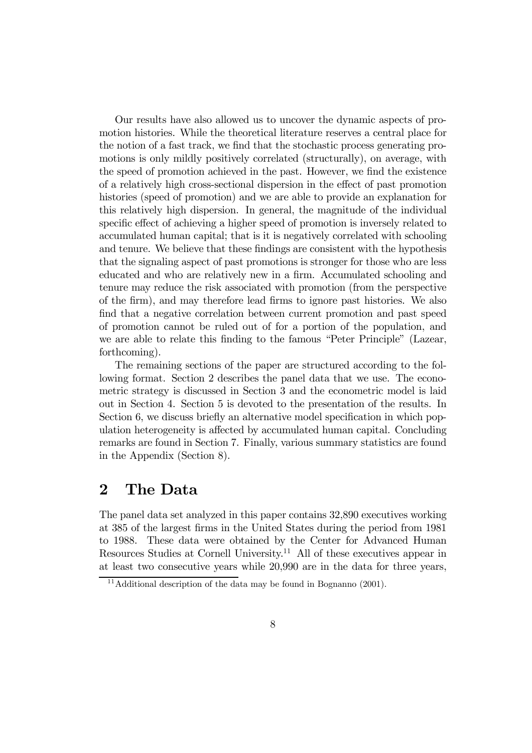Our results have also allowed us to uncover the dynamic aspects of promotion histories. While the theoretical literature reserves a central place for the notion of a fast track, we find that the stochastic process generating promotions is only mildly positively correlated (structurally), on average, with the speed of promotion achieved in the past. However, we find the existence of a relatively high cross-sectional dispersion in the effect of past promotion histories (speed of promotion) and we are able to provide an explanation for this relatively high dispersion. In general, the magnitude of the individual specific effect of achieving a higher speed of promotion is inversely related to accumulated human capital; that is it is negatively correlated with schooling and tenure. We believe that these findings are consistent with the hypothesis that the signaling aspect of past promotions is stronger for those who are less educated and who are relatively new in a firm. Accumulated schooling and tenure may reduce the risk associated with promotion (from the perspective of the firm), and may therefore lead firms to ignore past histories. We also find that a negative correlation between current promotion and past speed of promotion cannot be ruled out of for a portion of the population, and we are able to relate this finding to the famous "Peter Principle" (Lazear, forthcoming).

The remaining sections of the paper are structured according to the following format. Section 2 describes the panel data that we use. The econometric strategy is discussed in Section 3 and the econometric model is laid out in Section 4. Section 5 is devoted to the presentation of the results. In Section 6, we discuss briefly an alternative model specification in which population heterogeneity is affected by accumulated human capital. Concluding remarks are found in Section 7. Finally, various summary statistics are found in the Appendix (Section 8).

# 2 The Data

The panel data set analyzed in this paper contains 32,890 executives working at 385 of the largest firms in the United States during the period from 1981 to 1988. These data were obtained by the Center for Advanced Human Resources Studies at Cornell University.<sup>11</sup> All of these executives appear in at least two consecutive years while 20,990 are in the data for three years,

<sup>&</sup>lt;sup>11</sup>Additional description of the data may be found in Bognanno  $(2001)$ .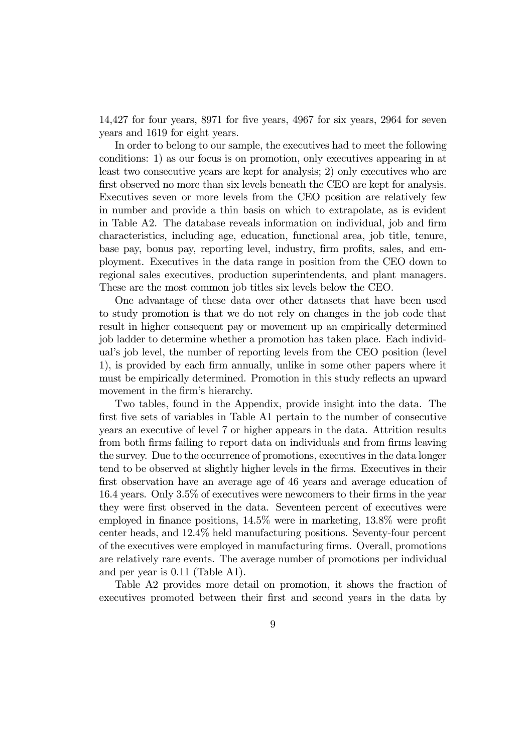14,427 for four years, 8971 for five years, 4967 for six years, 2964 for seven years and 1619 for eight years.

In order to belong to our sample, the executives had to meet the following conditions: 1) as our focus is on promotion, only executives appearing in at least two consecutive years are kept for analysis; 2) only executives who are first observed no more than six levels beneath the CEO are kept for analysis. Executives seven or more levels from the CEO position are relatively few in number and provide a thin basis on which to extrapolate, as is evident in Table A2. The database reveals information on individual, job and firm characteristics, including age, education, functional area, job title, tenure, base pay, bonus pay, reporting level, industry, firm profits, sales, and employment. Executives in the data range in position from the CEO down to regional sales executives, production superintendents, and plant managers. These are the most common job titles six levels below the CEO.

One advantage of these data over other datasets that have been used to study promotion is that we do not rely on changes in the job code that result in higher consequent pay or movement up an empirically determined job ladder to determine whether a promotion has taken place. Each individual's job level, the number of reporting levels from the CEO position (level 1), is provided by each firm annually, unlike in some other papers where it must be empirically determined. Promotion in this study reflects an upward movement in the firm's hierarchy.

Two tables, found in the Appendix, provide insight into the data. The first five sets of variables in Table A1 pertain to the number of consecutive years an executive of level 7 or higher appears in the data. Attrition results from both firms failing to report data on individuals and from firms leaving the survey. Due to the occurrence of promotions, executives in the data longer tend to be observed at slightly higher levels in the firms. Executives in their first observation have an average age of 46 years and average education of 16.4 years. Only 3.5% of executives were newcomers to their firms in the year they were first observed in the data. Seventeen percent of executives were employed in finance positions, 14.5% were in marketing, 13.8% were profit center heads, and 12.4% held manufacturing positions. Seventy-four percent of the executives were employed in manufacturing firms. Overall, promotions are relatively rare events. The average number of promotions per individual and per year is 0.11 (Table A1).

Table A2 provides more detail on promotion, it shows the fraction of executives promoted between their first and second years in the data by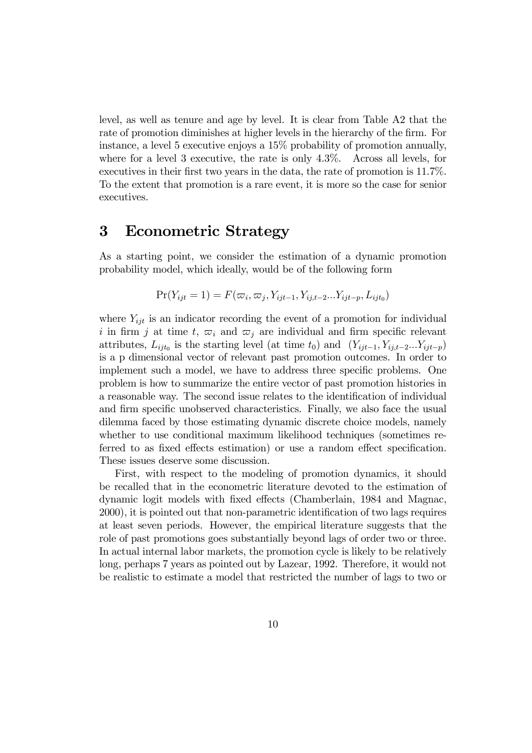level, as well as tenure and age by level. It is clear from Table A2 that the rate of promotion diminishes at higher levels in the hierarchy of the firm. For instance, a level 5 executive enjoys a 15% probability of promotion annually, where for a level 3 executive, the rate is only 4.3%. Across all levels, for executives in their first two years in the data, the rate of promotion is 11.7%. To the extent that promotion is a rare event, it is more so the case for senior executives.

### 3 Econometric Strategy

As a starting point, we consider the estimation of a dynamic promotion probability model, which ideally, would be of the following form

$$
Pr(Y_{ijt} = 1) = F(\varpi_i, \varpi_j, Y_{ijt-1}, Y_{ij,t-2}...Y_{ijt-p}, L_{ijt_0})
$$

where  $Y_{iit}$  is an indicator recording the event of a promotion for individual i in firm j at time t,  $\varpi_i$  and  $\varpi_j$  are individual and firm specific relevant attributes,  $L_{ijt_0}$  is the starting level (at time  $t_0$ ) and  $(Y_{ijt-1}, Y_{ij,t-2}...Y_{ijt-p})$ is a p dimensional vector of relevant past promotion outcomes. In order to implement such a model, we have to address three specific problems. One problem is how to summarize the entire vector of past promotion histories in a reasonable way. The second issue relates to the identification of individual and firm specific unobserved characteristics. Finally, we also face the usual dilemma faced by those estimating dynamic discrete choice models, namely whether to use conditional maximum likelihood techniques (sometimes referred to as fixed effects estimation) or use a random effect specification. These issues deserve some discussion.

First, with respect to the modeling of promotion dynamics, it should be recalled that in the econometric literature devoted to the estimation of dynamic logit models with fixed effects (Chamberlain, 1984 and Magnac, 2000), it is pointed out that non-parametric identification of two lags requires at least seven periods. However, the empirical literature suggests that the role of past promotions goes substantially beyond lags of order two or three. In actual internal labor markets, the promotion cycle is likely to be relatively long, perhaps 7 years as pointed out by Lazear, 1992. Therefore, it would not be realistic to estimate a model that restricted the number of lags to two or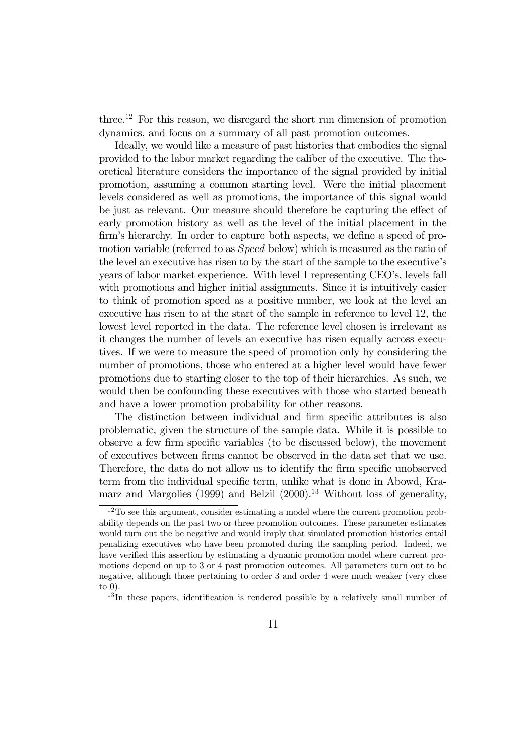three.<sup>12</sup> For this reason, we disregard the short run dimension of promotion dynamics, and focus on a summary of all past promotion outcomes.

Ideally, we would like a measure of past histories that embodies the signal provided to the labor market regarding the caliber of the executive. The theoretical literature considers the importance of the signal provided by initial promotion, assuming a common starting level. Were the initial placement levels considered as well as promotions, the importance of this signal would be just as relevant. Our measure should therefore be capturing the effect of early promotion history as well as the level of the initial placement in the firm's hierarchy. In order to capture both aspects, we define a speed of promotion variable (referred to as Speed below) which is measured as the ratio of the level an executive has risen to by the start of the sample to the executive's years of labor market experience. With level 1 representing CEO's, levels fall with promotions and higher initial assignments. Since it is intuitively easier to think of promotion speed as a positive number, we look at the level an executive has risen to at the start of the sample in reference to level 12, the lowest level reported in the data. The reference level chosen is irrelevant as it changes the number of levels an executive has risen equally across executives. If we were to measure the speed of promotion only by considering the number of promotions, those who entered at a higher level would have fewer promotions due to starting closer to the top of their hierarchies. As such, we would then be confounding these executives with those who started beneath and have a lower promotion probability for other reasons.

The distinction between individual and firm specific attributes is also problematic, given the structure of the sample data. While it is possible to observe a few firm specific variables (to be discussed below), the movement of executives between firms cannot be observed in the data set that we use. Therefore, the data do not allow us to identify the firm specific unobserved term from the individual specific term, unlike what is done in Abowd, Kramarz and Margolies (1999) and Belzil  $(2000)^{13}$  Without loss of generality,

 $13$ In these papers, identification is rendered possible by a relatively small number of

 $12\text{To see this argument, consider estimating a model where the current promotion probability.}$ ability depends on the past two or three promotion outcomes. These parameter estimates would turn out the be negative and would imply that simulated promotion histories entail penalizing executives who have been promoted during the sampling period. Indeed, we have verified this assertion by estimating a dynamic promotion model where current promotions depend on up to 3 or 4 past promotion outcomes. All parameters turn out to be negative, although those pertaining to order 3 and order 4 were much weaker (very close to 0).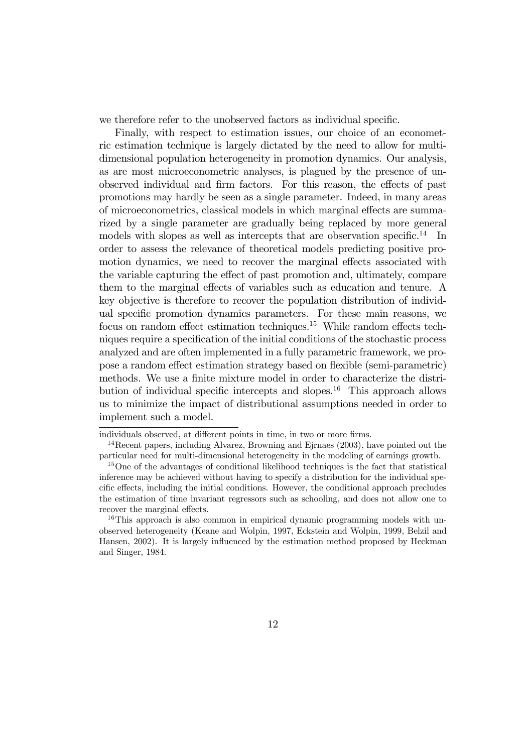we therefore refer to the unobserved factors as individual specific.

Finally, with respect to estimation issues, our choice of an econometric estimation technique is largely dictated by the need to allow for multidimensional population heterogeneity in promotion dynamics. Our analysis, as are most microeconometric analyses, is plagued by the presence of unobserved individual and firm factors. For this reason, the effects of past promotions may hardly be seen as a single parameter. Indeed, in many areas of microeconometrics, classical models in which marginal effects are summarized by a single parameter are gradually being replaced by more general models with slopes as well as intercepts that are observation specific.<sup>14</sup> In order to assess the relevance of theoretical models predicting positive promotion dynamics, we need to recover the marginal effects associated with the variable capturing the effect of past promotion and, ultimately, compare them to the marginal effects of variables such as education and tenure. A key objective is therefore to recover the population distribution of individual specific promotion dynamics parameters. For these main reasons, we focus on random effect estimation techniques.<sup>15</sup> While random effects techniques require a specification of the initial conditions of the stochastic process analyzed and are often implemented in a fully parametric framework, we propose a random effect estimation strategy based on flexible (semi-parametric) methods. We use a finite mixture model in order to characterize the distribution of individual specific intercepts and slopes.<sup>16</sup> This approach allows us to minimize the impact of distributional assumptions needed in order to implement such a model.

individuals observed, at different points in time, in two or more firms.

<sup>&</sup>lt;sup>14</sup>Recent papers, including Alvarez, Browning and Ejrnaes (2003), have pointed out the particular need for multi-dimensional heterogeneity in the modeling of earnings growth.

<sup>15</sup>One of the advantages of conditional likelihood techniques is the fact that statistical inference may be achieved without having to specify a distribution for the individual specific effects, including the initial conditions. However, the conditional approach precludes the estimation of time invariant regressors such as schooling, and does not allow one to recover the marginal effects.

 $16$ This approach is also common in empirical dynamic programming models with unobserved heterogeneity (Keane and Wolpin, 1997, Eckstein and Wolpin, 1999, Belzil and Hansen, 2002). It is largely influenced by the estimation method proposed by Heckman and Singer, 1984.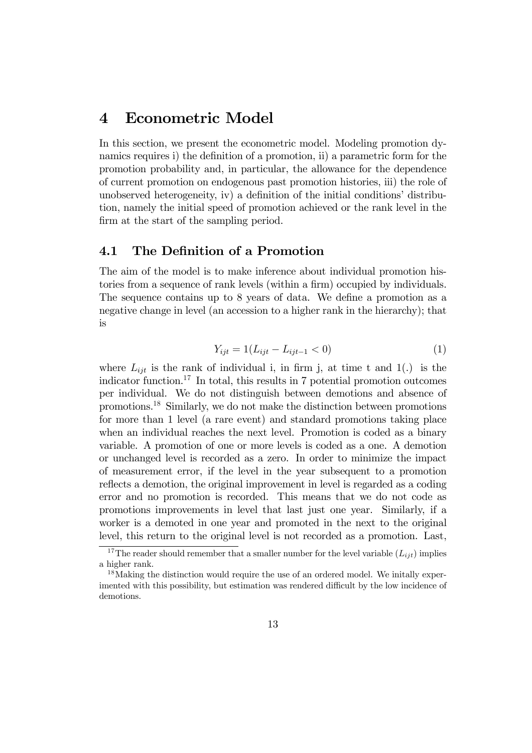### 4 Econometric Model

In this section, we present the econometric model. Modeling promotion dynamics requires i) the definition of a promotion, ii) a parametric form for the promotion probability and, in particular, the allowance for the dependence of current promotion on endogenous past promotion histories, iii) the role of unobserved heterogeneity, iv) a definition of the initial conditions' distribution, namely the initial speed of promotion achieved or the rank level in the firm at the start of the sampling period.

### 4.1 The Definition of a Promotion

The aim of the model is to make inference about individual promotion histories from a sequence of rank levels (within a firm) occupied by individuals. The sequence contains up to 8 years of data. We define a promotion as a negative change in level (an accession to a higher rank in the hierarchy); that is

$$
Y_{ijt} = 1(L_{ijt} - L_{ijt-1} < 0) \tag{1}
$$

where  $L_{ijt}$  is the rank of individual i, in firm j, at time t and 1(.) is the indicator function.<sup>17</sup> In total, this results in 7 potential promotion outcomes per individual. We do not distinguish between demotions and absence of promotions.18 Similarly, we do not make the distinction between promotions for more than 1 level (a rare event) and standard promotions taking place when an individual reaches the next level. Promotion is coded as a binary variable. A promotion of one or more levels is coded as a one. A demotion or unchanged level is recorded as a zero. In order to minimize the impact of measurement error, if the level in the year subsequent to a promotion reflects a demotion, the original improvement in level is regarded as a coding error and no promotion is recorded. This means that we do not code as promotions improvements in level that last just one year. Similarly, if a worker is a demoted in one year and promoted in the next to the original level, this return to the original level is not recorded as a promotion. Last,

<sup>&</sup>lt;sup>17</sup>The reader should remember that a smaller number for the level variable  $(L_{ijt})$  implies a higher rank.

<sup>&</sup>lt;sup>18</sup>Making the distinction would require the use of an ordered model. We initially experimented with this possibility, but estimation was rendered difficult by the low incidence of demotions.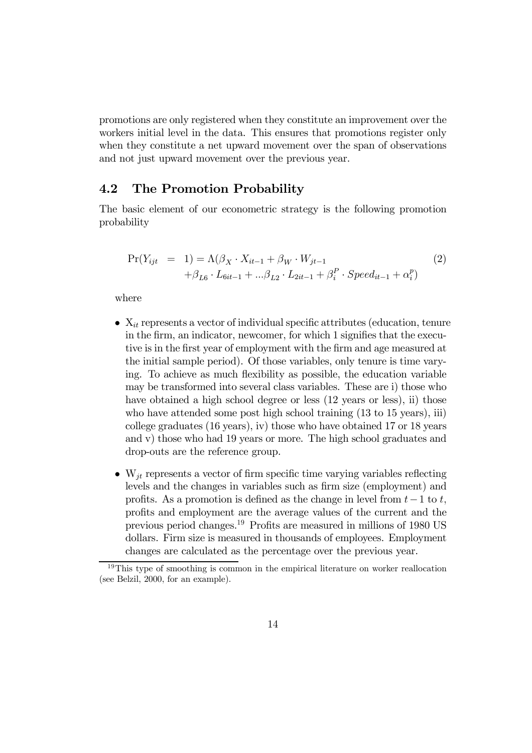promotions are only registered when they constitute an improvement over the workers initial level in the data. This ensures that promotions register only when they constitute a net upward movement over the span of observations and not just upward movement over the previous year.

#### 4.2 The Promotion Probability

The basic element of our econometric strategy is the following promotion probability

$$
\Pr(Y_{ijt} = 1) = \Lambda(\beta_X \cdot X_{it-1} + \beta_W \cdot W_{jt-1} + \beta_i^P \cdot Speed_{it-1} + \alpha_i^P) + \beta_{L6} \cdot L_{6it-1} + \dots + \beta_{L2} \cdot L_{2it-1} + \beta_i^P \cdot Speed_{it-1} + \alpha_i^P)
$$
\n(2)

where

- $X_{it}$  represents a vector of individual specific attributes (education, tenure in the firm, an indicator, newcomer, for which 1 signifies that the executive is in the first year of employment with the firm and age measured at the initial sample period). Of those variables, only tenure is time varying. To achieve as much flexibility as possible, the education variable may be transformed into several class variables. These are i) those who have obtained a high school degree or less  $(12 \text{ years or less}),$  ii) those who have attended some post high school training  $(13 \text{ to } 15 \text{ years}),$  iii) college graduates (16 years), iv) those who have obtained 17 or 18 years and v) those who had 19 years or more. The high school graduates and drop-outs are the reference group.
- $W_{it}$  represents a vector of firm specific time varying variables reflecting levels and the changes in variables such as firm size (employment) and profits. As a promotion is defined as the change in level from  $t-1$  to t, profits and employment are the average values of the current and the previous period changes.19 Profits are measured in millions of 1980 US dollars. Firm size is measured in thousands of employees. Employment changes are calculated as the percentage over the previous year.

<sup>&</sup>lt;sup>19</sup>This type of smoothing is common in the empirical literature on worker reallocation (see Belzil, 2000, for an example).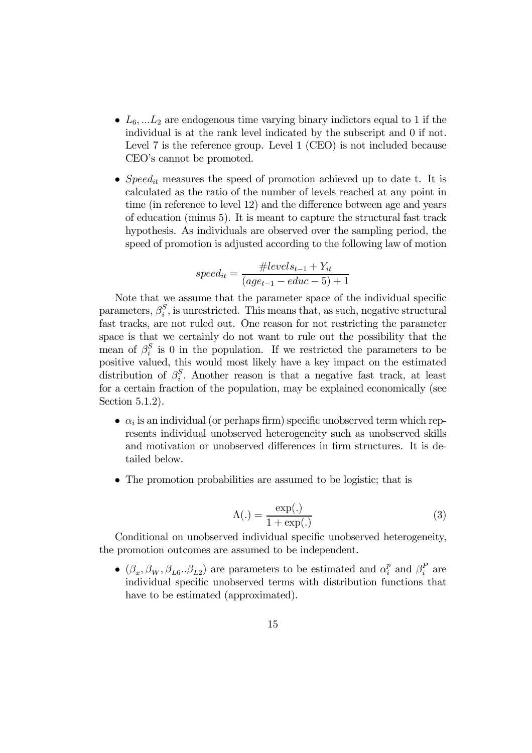- $L_6, ... L_2$  are endogenous time varying binary indictors equal to 1 if the individual is at the rank level indicated by the subscript and 0 if not. Level 7 is the reference group. Level 1 (CEO) is not included because CEO's cannot be promoted.
- Speed<sub>it</sub> measures the speed of promotion achieved up to date t. It is calculated as the ratio of the number of levels reached at any point in time (in reference to level 12) and the difference between age and years of education (minus 5). It is meant to capture the structural fast track hypothesis. As individuals are observed over the sampling period, the speed of promotion is adjusted according to the following law of motion

$$
speed_{it} = \frac{\#levels_{t-1} + Y_{it}}{(age_{t-1} - educ - 5) + 1}
$$

Note that we assume that the parameter space of the individual specific parameters,  $\beta_i^S$ , is unrestricted. This means that, as such, negative structural fast tracks, are not ruled out. One reason for not restricting the parameter space is that we certainly do not want to rule out the possibility that the mean of  $\beta_i^S$  is 0 in the population. If we restricted the parameters to be positive valued, this would most likely have a key impact on the estimated distribution of  $\beta_i^S$ . Another reason is that a negative fast track, at least for a certain fraction of the population, may be explained economically (see Section 5.1.2).

- $\alpha_i$  is an individual (or perhaps firm) specific unobserved term which represents individual unobserved heterogeneity such as unobserved skills and motivation or unobserved differences in firm structures. It is detailed below.
- The promotion probabilities are assumed to be logistic; that is

$$
\Lambda(.) = \frac{\exp(.)}{1 + \exp(.)} \tag{3}
$$

Conditional on unobserved individual specific unobserved heterogeneity, the promotion outcomes are assumed to be independent.

•  $(\beta_x, \beta_W, \beta_{L_0} \ldots \beta_{L_2})$  are parameters to be estimated and  $\alpha_i^p$  and  $\beta_i^P$  are individual specific unobserved terms with distribution functions that have to be estimated (approximated).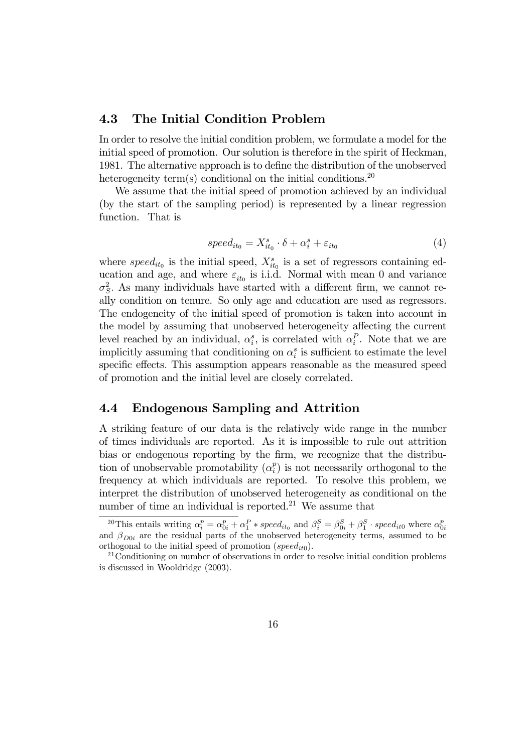### 4.3 The Initial Condition Problem

In order to resolve the initial condition problem, we formulate a model for the initial speed of promotion. Our solution is therefore in the spirit of Heckman, 1981. The alternative approach is to define the distribution of the unobserved heterogeneity term(s) conditional on the initial conditions.<sup>20</sup>

We assume that the initial speed of promotion achieved by an individual (by the start of the sampling period) is represented by a linear regression function. That is

$$
speed_{it_0} = X_{it_0}^s \cdot \delta + \alpha_i^s + \varepsilon_{it_0}
$$
\n
$$
\tag{4}
$$

where  $speed_{it_0}$  is the initial speed,  $X_{it_0}^s$  is a set of regressors containing education and age, and where  $\varepsilon_{it_0}$  is i.i.d. Normal with mean 0 and variance  $\sigma_S^2$ . As many individuals have started with a different firm, we cannot really condition on tenure. So only age and education are used as regressors. The endogeneity of the initial speed of promotion is taken into account in the model by assuming that unobserved heterogeneity affecting the current level reached by an individual,  $\alpha_i^s$ , is correlated with  $\alpha_i^P$ . Note that we are implicitly assuming that conditioning on  $\alpha_i^s$  is sufficient to estimate the level specific effects. This assumption appears reasonable as the measured speed of promotion and the initial level are closely correlated.

### 4.4 Endogenous Sampling and Attrition

A striking feature of our data is the relatively wide range in the number of times individuals are reported. As it is impossible to rule out attrition bias or endogenous reporting by the firm, we recognize that the distribution of unobservable promotability  $(\alpha_i^p)$  is not necessarily orthogonal to the frequency at which individuals are reported. To resolve this problem, we interpret the distribution of unobserved heterogeneity as conditional on the number of time an individual is reported.<sup>21</sup> We assume that

<sup>&</sup>lt;sup>20</sup>This entails writing  $\alpha_i^p = \alpha_{0i}^p + \alpha_1^P * speed_{it_0}$  and  $\beta_i^S = \beta_{0i}^S + \beta_1^S \cdot speed_{it_0}$  where  $\alpha_{0i}^p$  and  $\beta_{D0i}$  are the residual parts of the unobserved heterogeneity terms, assumed to be orthogonal to the initial speed of promotion (speed<sub>it0</sub>).<br><sup>21</sup>Conditioning on number of observations in order to resolve initial condition problems

is discussed in Wooldridge (2003).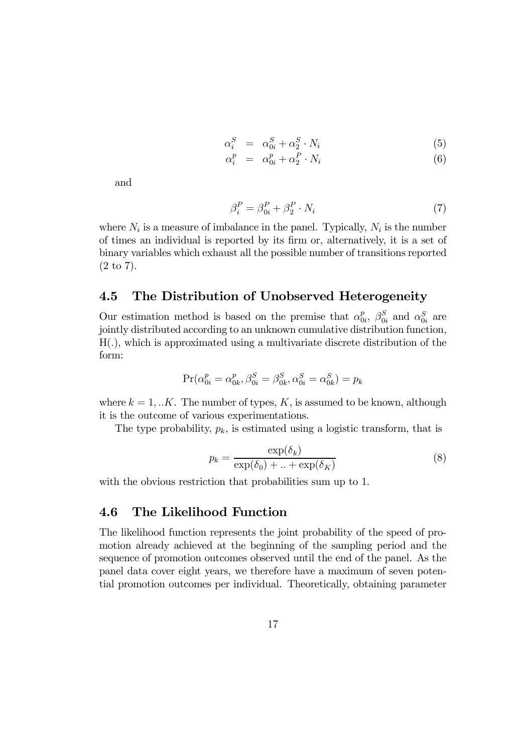$$
\alpha_i^S = \alpha_{0i}^S + \alpha_2^S \cdot N_i \tag{5}
$$

$$
\alpha_i^p = \alpha_{0i}^p + \alpha_2^P \cdot N_i \tag{6}
$$

and

$$
\beta_i^P = \beta_{0i}^P + \beta_2^P \cdot N_i \tag{7}
$$

where  $N_i$  is a measure of imbalance in the panel. Typically,  $N_i$  is the number of times an individual is reported by its firm or, alternatively, it is a set of binary variables which exhaust all the possible number of transitions reported (2 to 7).

### 4.5 The Distribution of Unobserved Heterogeneity

Our estimation method is based on the premise that  $\alpha_{0i}^p$ ,  $\beta_{0i}^S$  and  $\alpha_{0i}^S$  are jointly distributed according to an unknown cumulative distribution function, H(.), which is approximated using a multivariate discrete distribution of the form:

$$
Pr(\alpha_{0i}^p = \alpha_{0k}^p, \beta_{0i}^S = \beta_{0k}^S, \alpha_{0i}^S = \alpha_{0k}^S) = p_k
$$

where  $k = 1,..K$ . The number of types, K, is assumed to be known, although it is the outcome of various experimentations.

The type probability,  $p_k$ , is estimated using a logistic transform, that is

$$
p_k = \frac{\exp(\delta_k)}{\exp(\delta_0) + \ldots + \exp(\delta_K)}\tag{8}
$$

with the obvious restriction that probabilities sum up to 1.

### 4.6 The Likelihood Function

The likelihood function represents the joint probability of the speed of promotion already achieved at the beginning of the sampling period and the sequence of promotion outcomes observed until the end of the panel. As the panel data cover eight years, we therefore have a maximum of seven potential promotion outcomes per individual. Theoretically, obtaining parameter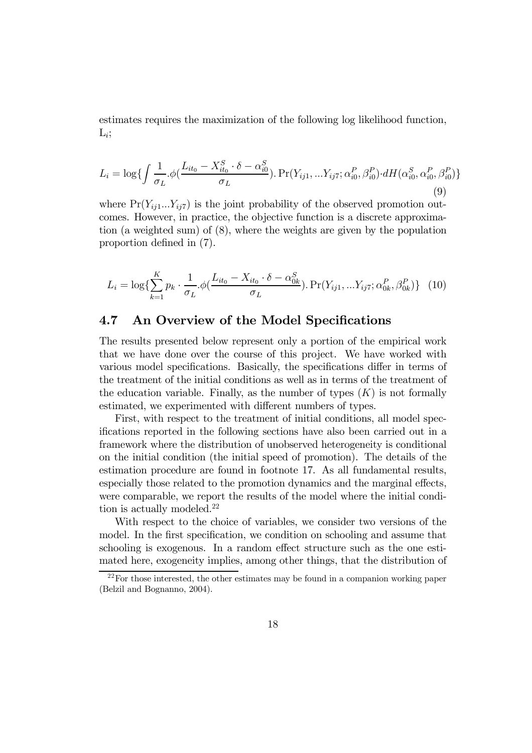estimates requires the maximization of the following log likelihood function,  $L_i$ :

$$
L_{i} = \log \{ \int \frac{1}{\sigma_{L}} \phi \left( \frac{L_{it_{0}} - X_{it_{0}}^{S} \cdot \delta - \alpha_{i0}^{S}}{\sigma_{L}} \right) \cdot \Pr(Y_{ij1}, \dots, Y_{ij7}; \alpha_{i0}^{P}, \beta_{i0}^{P} \right) \cdot dH(\alpha_{i0}^{S}, \alpha_{i0}^{P}, \beta_{i0}^{P}) \}
$$
\n(9)

where  $Pr(Y_{ij1}...Y_{ij7})$  is the joint probability of the observed promotion outcomes. However, in practice, the objective function is a discrete approximation (a weighted sum) of (8), where the weights are given by the population proportion defined in (7).

$$
L_i = \log \{ \sum_{k=1}^{K} p_k \cdot \frac{1}{\sigma_L} \phi \left( \frac{L_{it_0} - X_{it_0} \cdot \delta - \alpha_{0k}^S}{\sigma_L} \right) \cdot \Pr(Y_{ij1}, \dots, Y_{ij7}; \alpha_{0k}^P, \beta_{0k}^P) \} \tag{10}
$$

### 4.7 An Overview of the Model Specifications

The results presented below represent only a portion of the empirical work that we have done over the course of this project. We have worked with various model specifications. Basically, the specifications differ in terms of the treatment of the initial conditions as well as in terms of the treatment of the education variable. Finally, as the number of types  $(K)$  is not formally estimated, we experimented with different numbers of types.

First, with respect to the treatment of initial conditions, all model specifications reported in the following sections have also been carried out in a framework where the distribution of unobserved heterogeneity is conditional on the initial condition (the initial speed of promotion). The details of the estimation procedure are found in footnote 17. As all fundamental results, especially those related to the promotion dynamics and the marginal effects, were comparable, we report the results of the model where the initial condition is actually modeled.<sup>22</sup>

With respect to the choice of variables, we consider two versions of the model. In the first specification, we condition on schooling and assume that schooling is exogenous. In a random effect structure such as the one estimated here, exogeneity implies, among other things, that the distribution of

 $22$  For those interested, the other estimates may be found in a companion working paper (Belzil and Bognanno, 2004).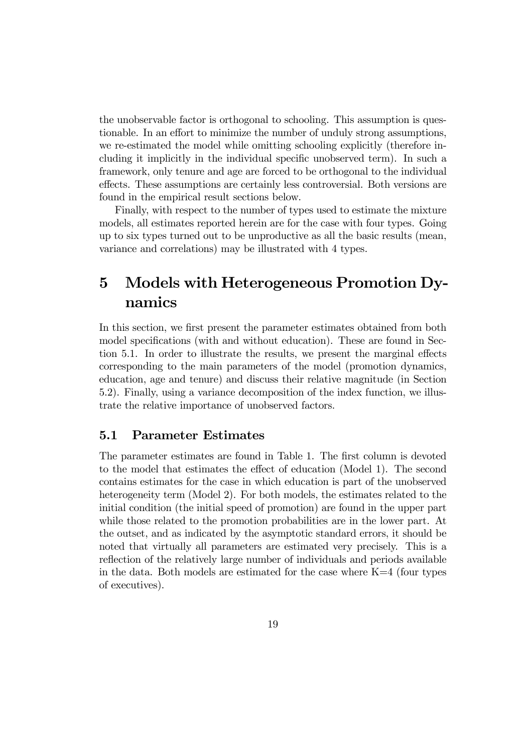the unobservable factor is orthogonal to schooling. This assumption is questionable. In an effort to minimize the number of unduly strong assumptions, we re-estimated the model while omitting schooling explicitly (therefore including it implicitly in the individual specific unobserved term). In such a framework, only tenure and age are forced to be orthogonal to the individual effects. These assumptions are certainly less controversial. Both versions are found in the empirical result sections below.

Finally, with respect to the number of types used to estimate the mixture models, all estimates reported herein are for the case with four types. Going up to six types turned out to be unproductive as all the basic results (mean, variance and correlations) may be illustrated with 4 types.

# 5 Models with Heterogeneous Promotion Dynamics

In this section, we first present the parameter estimates obtained from both model specifications (with and without education). These are found in Section 5.1. In order to illustrate the results, we present the marginal effects corresponding to the main parameters of the model (promotion dynamics, education, age and tenure) and discuss their relative magnitude (in Section 5.2). Finally, using a variance decomposition of the index function, we illustrate the relative importance of unobserved factors.

### 5.1 Parameter Estimates

The parameter estimates are found in Table 1. The first column is devoted to the model that estimates the effect of education (Model 1). The second contains estimates for the case in which education is part of the unobserved heterogeneity term (Model 2). For both models, the estimates related to the initial condition (the initial speed of promotion) are found in the upper part while those related to the promotion probabilities are in the lower part. At the outset, and as indicated by the asymptotic standard errors, it should be noted that virtually all parameters are estimated very precisely. This is a reflection of the relatively large number of individuals and periods available in the data. Both models are estimated for the case where  $K=4$  (four types of executives).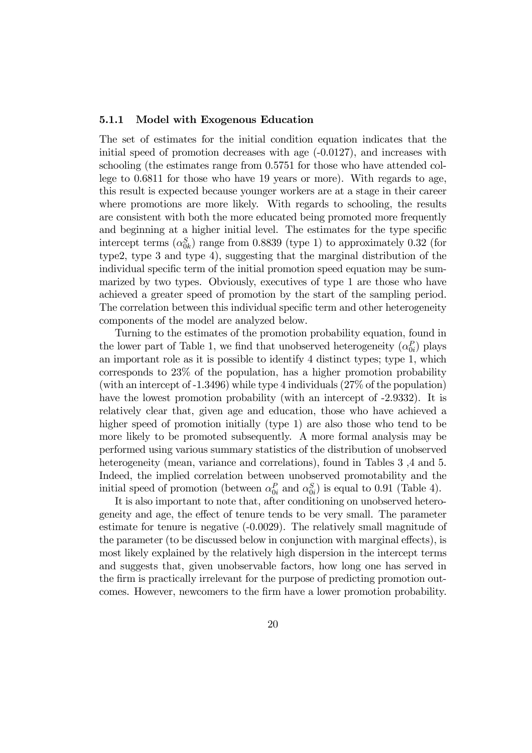#### 5.1.1 Model with Exogenous Education

The set of estimates for the initial condition equation indicates that the initial speed of promotion decreases with age  $(-0.0127)$ , and increases with schooling (the estimates range from 0.5751 for those who have attended college to 0.6811 for those who have 19 years or more). With regards to age, this result is expected because younger workers are at a stage in their career where promotions are more likely. With regards to schooling, the results are consistent with both the more educated being promoted more frequently and beginning at a higher initial level. The estimates for the type specific intercept terms  $(\alpha_{0k}^S)$  range from 0.8839 (type 1) to approximately 0.32 (for type2, type 3 and type 4), suggesting that the marginal distribution of the individual specific term of the initial promotion speed equation may be summarized by two types. Obviously, executives of type 1 are those who have achieved a greater speed of promotion by the start of the sampling period. The correlation between this individual specific term and other heterogeneity components of the model are analyzed below.

Turning to the estimates of the promotion probability equation, found in the lower part of Table 1, we find that unobserved heterogeneity  $(\alpha_{0i}^P)$  plays an important role as it is possible to identify 4 distinct types; type 1, which corresponds to 23% of the population, has a higher promotion probability (with an intercept of -1.3496) while type 4 individuals (27% of the population) have the lowest promotion probability (with an intercept of -2.9332). It is relatively clear that, given age and education, those who have achieved a higher speed of promotion initially (type 1) are also those who tend to be more likely to be promoted subsequently. A more formal analysis may be performed using various summary statistics of the distribution of unobserved heterogeneity (mean, variance and correlations), found in Tables 3,4 and 5. Indeed, the implied correlation between unobserved promotability and the initial speed of promotion (between  $\alpha_{0i}^P$  and  $\alpha_{0i}^S$ ) is equal to 0.91 (Table 4).

It is also important to note that, after conditioning on unobserved heterogeneity and age, the effect of tenure tends to be very small. The parameter estimate for tenure is negative (-0.0029). The relatively small magnitude of the parameter (to be discussed below in conjunction with marginal effects), is most likely explained by the relatively high dispersion in the intercept terms and suggests that, given unobservable factors, how long one has served in the firm is practically irrelevant for the purpose of predicting promotion outcomes. However, newcomers to the firm have a lower promotion probability.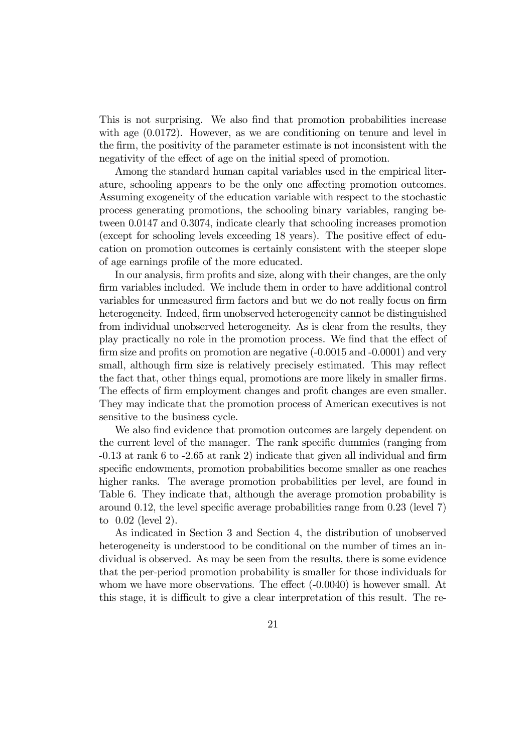This is not surprising. We also find that promotion probabilities increase with age  $(0.0172)$ . However, as we are conditioning on tenure and level in the firm, the positivity of the parameter estimate is not inconsistent with the negativity of the effect of age on the initial speed of promotion.

Among the standard human capital variables used in the empirical literature, schooling appears to be the only one affecting promotion outcomes. Assuming exogeneity of the education variable with respect to the stochastic process generating promotions, the schooling binary variables, ranging between 0.0147 and 0.3074, indicate clearly that schooling increases promotion (except for schooling levels exceeding 18 years). The positive effect of education on promotion outcomes is certainly consistent with the steeper slope of age earnings profile of the more educated.

In our analysis, firm profits and size, along with their changes, are the only firm variables included. We include them in order to have additional control variables for unmeasured firm factors and but we do not really focus on firm heterogeneity. Indeed, firm unobserved heterogeneity cannot be distinguished from individual unobserved heterogeneity. As is clear from the results, they play practically no role in the promotion process. We find that the effect of firm size and profits on promotion are negative  $(-0.0015$  and  $-0.0001)$  and very small, although firm size is relatively precisely estimated. This may reflect the fact that, other things equal, promotions are more likely in smaller firms. The effects of firm employment changes and profit changes are even smaller. They may indicate that the promotion process of American executives is not sensitive to the business cycle.

We also find evidence that promotion outcomes are largely dependent on the current level of the manager. The rank specific dummies (ranging from -0.13 at rank 6 to -2.65 at rank 2) indicate that given all individual and firm specific endowments, promotion probabilities become smaller as one reaches higher ranks. The average promotion probabilities per level, are found in Table 6. They indicate that, although the average promotion probability is around 0.12, the level specific average probabilities range from 0.23 (level 7) to 0.02 (level 2).

As indicated in Section 3 and Section 4, the distribution of unobserved heterogeneity is understood to be conditional on the number of times an individual is observed. As may be seen from the results, there is some evidence that the per-period promotion probability is smaller for those individuals for whom we have more observations. The effect  $(-0.0040)$  is however small. At this stage, it is difficult to give a clear interpretation of this result. The re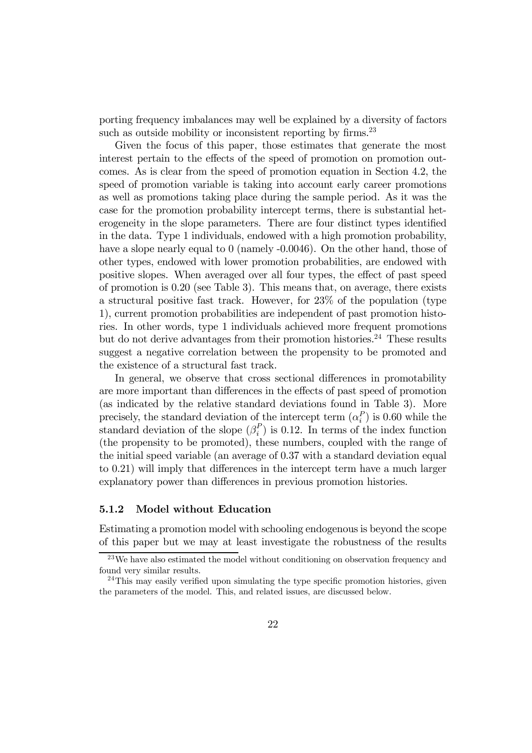porting frequency imbalances may well be explained by a diversity of factors such as outside mobility or inconsistent reporting by firms.<sup>23</sup>

Given the focus of this paper, those estimates that generate the most interest pertain to the effects of the speed of promotion on promotion outcomes. As is clear from the speed of promotion equation in Section 4.2, the speed of promotion variable is taking into account early career promotions as well as promotions taking place during the sample period. As it was the case for the promotion probability intercept terms, there is substantial heterogeneity in the slope parameters. There are four distinct types identified in the data. Type 1 individuals, endowed with a high promotion probability, have a slope nearly equal to 0 (namely -0.0046). On the other hand, those of other types, endowed with lower promotion probabilities, are endowed with positive slopes. When averaged over all four types, the effect of past speed of promotion is 0.20 (see Table 3). This means that, on average, there exists a structural positive fast track. However, for 23% of the population (type 1), current promotion probabilities are independent of past promotion histories. In other words, type 1 individuals achieved more frequent promotions but do not derive advantages from their promotion histories.<sup>24</sup> These results suggest a negative correlation between the propensity to be promoted and the existence of a structural fast track.

In general, we observe that cross sectional differences in promotability are more important than differences in the effects of past speed of promotion (as indicated by the relative standard deviations found in Table 3). More precisely, the standard deviation of the intercept term  $(\alpha_i^P)$  is 0.60 while the standard deviation of the slope  $(\beta_i^P)$  is 0.12. In terms of the index function (the propensity to be promoted), these numbers, coupled with the range of the initial speed variable (an average of 0.37 with a standard deviation equal to 0.21) will imply that differences in the intercept term have a much larger explanatory power than differences in previous promotion histories.

#### 5.1.2 Model without Education

Estimating a promotion model with schooling endogenous is beyond the scope of this paper but we may at least investigate the robustness of the results

<sup>&</sup>lt;sup>23</sup>We have also estimated the model without conditioning on observation frequency and found very similar results.

 $24$ This may easily verified upon simulating the type specific promotion histories, given the parameters of the model. This, and related issues, are discussed below.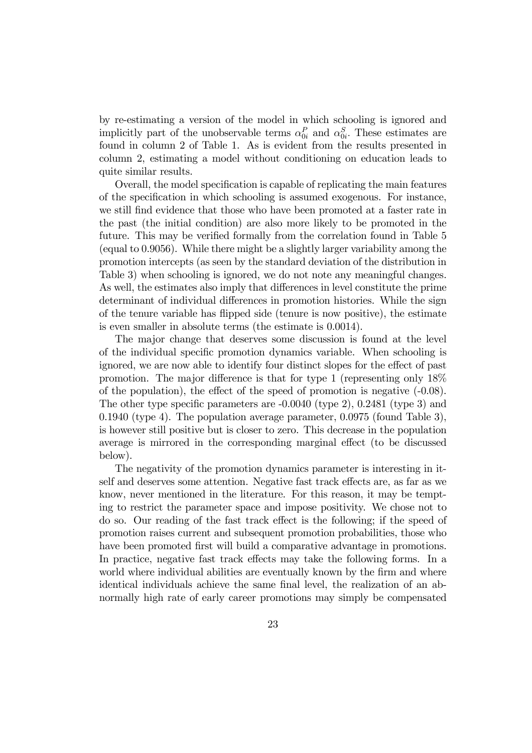by re-estimating a version of the model in which schooling is ignored and implicitly part of the unobservable terms  $\alpha_{0i}^P$  and  $\alpha_{0i}^S$ . These estimates are found in column 2 of Table 1. As is evident from the results presented in column 2, estimating a model without conditioning on education leads to quite similar results.

Overall, the model specification is capable of replicating the main features of the specification in which schooling is assumed exogenous. For instance, we still find evidence that those who have been promoted at a faster rate in the past (the initial condition) are also more likely to be promoted in the future. This may be verified formally from the correlation found in Table 5 (equal to 0.9056). While there might be a slightly larger variability among the promotion intercepts (as seen by the standard deviation of the distribution in Table 3) when schooling is ignored, we do not note any meaningful changes. As well, the estimates also imply that differences in level constitute the prime determinant of individual differences in promotion histories. While the sign of the tenure variable has flipped side (tenure is now positive), the estimate is even smaller in absolute terms (the estimate is 0.0014).

The major change that deserves some discussion is found at the level of the individual specific promotion dynamics variable. When schooling is ignored, we are now able to identify four distinct slopes for the effect of past promotion. The major difference is that for type 1 (representing only 18% of the population), the effect of the speed of promotion is negative (-0.08). The other type specific parameters are -0.0040 (type 2), 0.2481 (type 3) and 0.1940 (type 4). The population average parameter,  $0.0975$  (found Table 3), is however still positive but is closer to zero. This decrease in the population average is mirrored in the corresponding marginal effect (to be discussed below).

The negativity of the promotion dynamics parameter is interesting in itself and deserves some attention. Negative fast track effects are, as far as we know, never mentioned in the literature. For this reason, it may be tempting to restrict the parameter space and impose positivity. We chose not to do so. Our reading of the fast track effect is the following; if the speed of promotion raises current and subsequent promotion probabilities, those who have been promoted first will build a comparative advantage in promotions. In practice, negative fast track effects may take the following forms. In a world where individual abilities are eventually known by the firm and where identical individuals achieve the same final level, the realization of an abnormally high rate of early career promotions may simply be compensated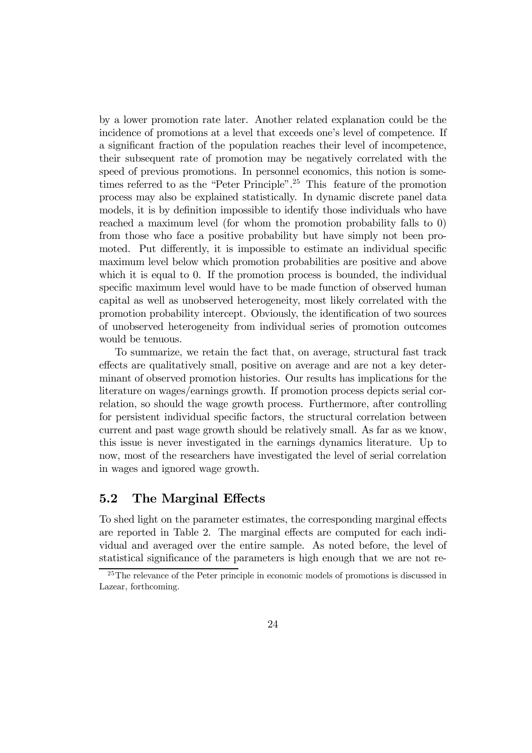by a lower promotion rate later. Another related explanation could be the incidence of promotions at a level that exceeds one's level of competence. If a significant fraction of the population reaches their level of incompetence, their subsequent rate of promotion may be negatively correlated with the speed of previous promotions. In personnel economics, this notion is sometimes referred to as the "Peter Principle".25 This feature of the promotion process may also be explained statistically. In dynamic discrete panel data models, it is by definition impossible to identify those individuals who have reached a maximum level (for whom the promotion probability falls to 0) from those who face a positive probability but have simply not been promoted. Put differently, it is impossible to estimate an individual specific maximum level below which promotion probabilities are positive and above which it is equal to 0. If the promotion process is bounded, the individual specific maximum level would have to be made function of observed human capital as well as unobserved heterogeneity, most likely correlated with the promotion probability intercept. Obviously, the identification of two sources of unobserved heterogeneity from individual series of promotion outcomes would be tenuous.

To summarize, we retain the fact that, on average, structural fast track effects are qualitatively small, positive on average and are not a key determinant of observed promotion histories. Our results has implications for the literature on wages/earnings growth. If promotion process depicts serial correlation, so should the wage growth process. Furthermore, after controlling for persistent individual specific factors, the structural correlation between current and past wage growth should be relatively small. As far as we know, this issue is never investigated in the earnings dynamics literature. Up to now, most of the researchers have investigated the level of serial correlation in wages and ignored wage growth.

### 5.2 The Marginal Effects

To shed light on the parameter estimates, the corresponding marginal effects are reported in Table 2. The marginal effects are computed for each individual and averaged over the entire sample. As noted before, the level of statistical significance of the parameters is high enough that we are not re-

<sup>&</sup>lt;sup>25</sup>The relevance of the Peter principle in economic models of promotions is discussed in Lazear, forthcoming.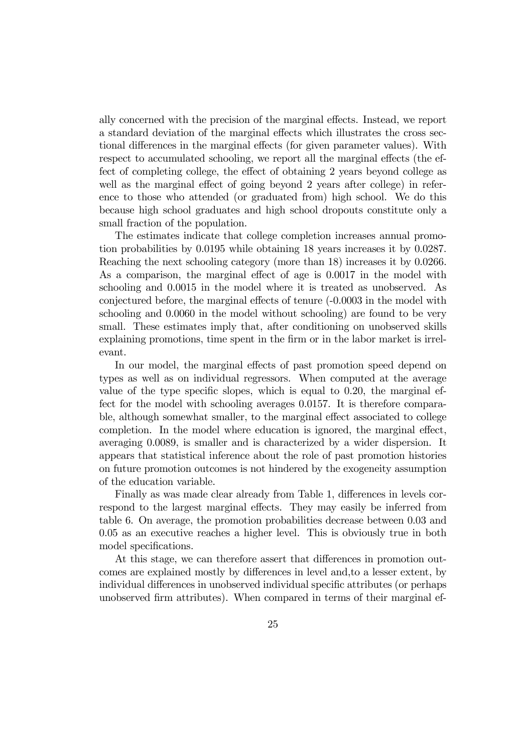ally concerned with the precision of the marginal effects. Instead, we report a standard deviation of the marginal effects which illustrates the cross sectional differences in the marginal effects (for given parameter values). With respect to accumulated schooling, we report all the marginal effects (the effect of completing college, the effect of obtaining 2 years beyond college as well as the marginal effect of going beyond 2 years after college) in reference to those who attended (or graduated from) high school. We do this because high school graduates and high school dropouts constitute only a small fraction of the population.

The estimates indicate that college completion increases annual promotion probabilities by 0.0195 while obtaining 18 years increases it by 0.0287. Reaching the next schooling category (more than 18) increases it by 0.0266. As a comparison, the marginal effect of age is 0.0017 in the model with schooling and 0.0015 in the model where it is treated as unobserved. As conjectured before, the marginal effects of tenure (-0.0003 in the model with schooling and 0.0060 in the model without schooling) are found to be very small. These estimates imply that, after conditioning on unobserved skills explaining promotions, time spent in the firm or in the labor market is irrelevant.

In our model, the marginal effects of past promotion speed depend on types as well as on individual regressors. When computed at the average value of the type specific slopes, which is equal to 0.20, the marginal effect for the model with schooling averages 0.0157. It is therefore comparable, although somewhat smaller, to the marginal effect associated to college completion. In the model where education is ignored, the marginal effect, averaging 0.0089, is smaller and is characterized by a wider dispersion. It appears that statistical inference about the role of past promotion histories on future promotion outcomes is not hindered by the exogeneity assumption of the education variable.

Finally as was made clear already from Table 1, differences in levels correspond to the largest marginal effects. They may easily be inferred from table 6. On average, the promotion probabilities decrease between 0.03 and 0.05 as an executive reaches a higher level. This is obviously true in both model specifications.

At this stage, we can therefore assert that differences in promotion outcomes are explained mostly by differences in level and,to a lesser extent, by individual differences in unobserved individual specific attributes (or perhaps unobserved firm attributes). When compared in terms of their marginal ef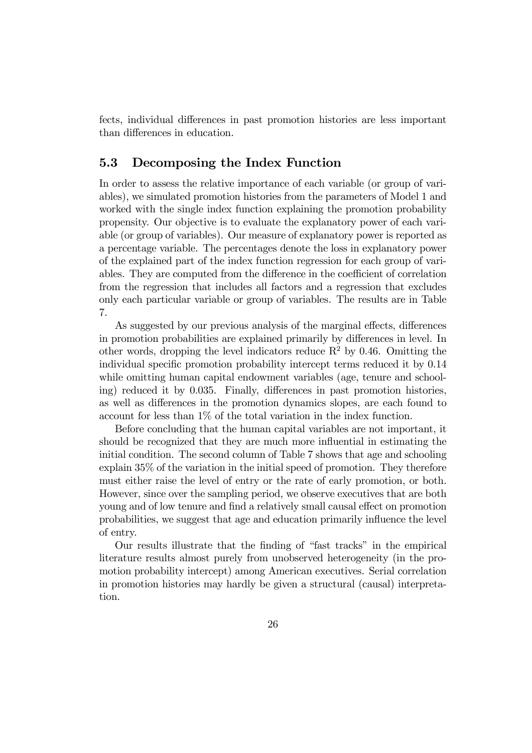fects, individual differences in past promotion histories are less important than differences in education.

### 5.3 Decomposing the Index Function

In order to assess the relative importance of each variable (or group of variables), we simulated promotion histories from the parameters of Model 1 and worked with the single index function explaining the promotion probability propensity. Our objective is to evaluate the explanatory power of each variable (or group of variables). Our measure of explanatory power is reported as a percentage variable. The percentages denote the loss in explanatory power of the explained part of the index function regression for each group of variables. They are computed from the difference in the coefficient of correlation from the regression that includes all factors and a regression that excludes only each particular variable or group of variables. The results are in Table 7.

As suggested by our previous analysis of the marginal effects, differences in promotion probabilities are explained primarily by differences in level. In other words, dropping the level indicators reduce  $R^2$  by 0.46. Omitting the individual specific promotion probability intercept terms reduced it by 0.14 while omitting human capital endowment variables (age, tenure and schooling) reduced it by 0.035. Finally, differences in past promotion histories, as well as differences in the promotion dynamics slopes, are each found to account for less than 1% of the total variation in the index function.

Before concluding that the human capital variables are not important, it should be recognized that they are much more influential in estimating the initial condition. The second column of Table 7 shows that age and schooling explain 35% of the variation in the initial speed of promotion. They therefore must either raise the level of entry or the rate of early promotion, or both. However, since over the sampling period, we observe executives that are both young and of low tenure and find a relatively small causal effect on promotion probabilities, we suggest that age and education primarily influence the level of entry.

Our results illustrate that the finding of "fast tracks" in the empirical literature results almost purely from unobserved heterogeneity (in the promotion probability intercept) among American executives. Serial correlation in promotion histories may hardly be given a structural (causal) interpretation.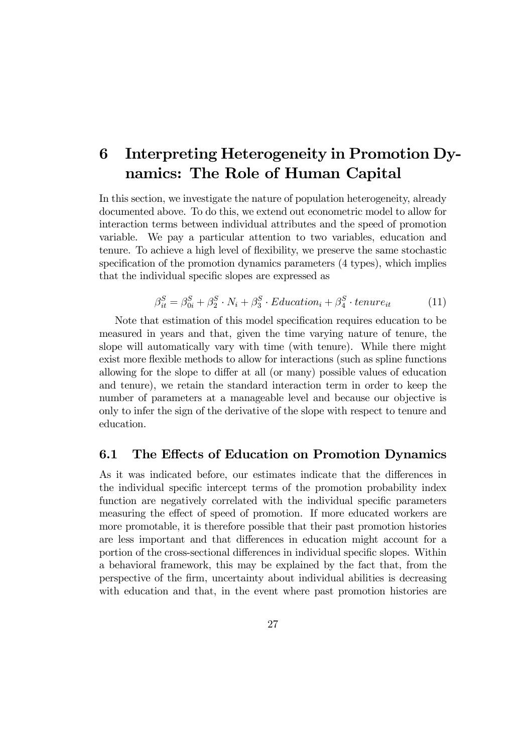# 6 Interpreting Heterogeneity in Promotion Dynamics: The Role of Human Capital

In this section, we investigate the nature of population heterogeneity, already documented above. To do this, we extend out econometric model to allow for interaction terms between individual attributes and the speed of promotion variable. We pay a particular attention to two variables, education and tenure. To achieve a high level of flexibility, we preserve the same stochastic specification of the promotion dynamics parameters (4 types), which implies that the individual specific slopes are expressed as

$$
\beta_{it}^{S} = \beta_{0i}^{S} + \beta_{2}^{S} \cdot N_{i} + \beta_{3}^{S} \cdot Education_{i} + \beta_{4}^{S} \cdot tenure_{it} \tag{11}
$$

Note that estimation of this model specification requires education to be measured in years and that, given the time varying nature of tenure, the slope will automatically vary with time (with tenure). While there might exist more flexible methods to allow for interactions (such as spline functions allowing for the slope to differ at all (or many) possible values of education and tenure), we retain the standard interaction term in order to keep the number of parameters at a manageable level and because our objective is only to infer the sign of the derivative of the slope with respect to tenure and education.

#### 6.1 The Effects of Education on Promotion Dynamics

As it was indicated before, our estimates indicate that the differences in the individual specific intercept terms of the promotion probability index function are negatively correlated with the individual specific parameters measuring the effect of speed of promotion. If more educated workers are more promotable, it is therefore possible that their past promotion histories are less important and that differences in education might account for a portion of the cross-sectional differences in individual specific slopes. Within a behavioral framework, this may be explained by the fact that, from the perspective of the firm, uncertainty about individual abilities is decreasing with education and that, in the event where past promotion histories are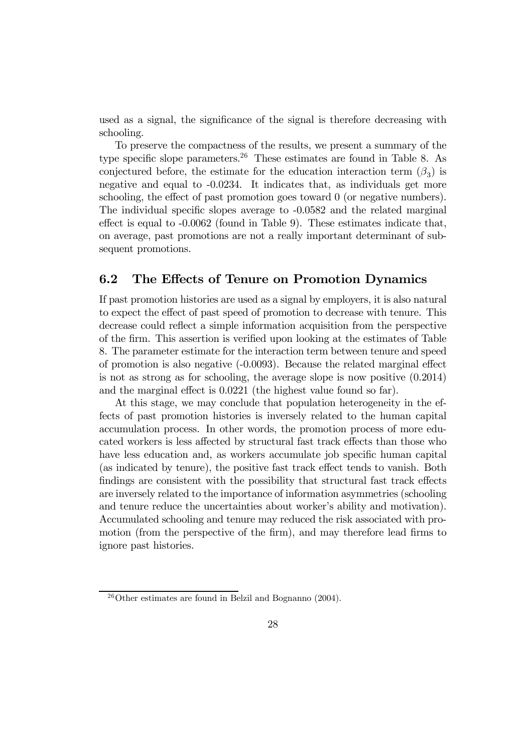used as a signal, the significance of the signal is therefore decreasing with schooling.

To preserve the compactness of the results, we present a summary of the type specific slope parameters.<sup>26</sup> These estimates are found in Table 8. As conjectured before, the estimate for the education interaction term  $(\beta_3)$  is negative and equal to -0.0234. It indicates that, as individuals get more schooling, the effect of past promotion goes toward 0 (or negative numbers). The individual specific slopes average to -0.0582 and the related marginal effect is equal to -0.0062 (found in Table 9). These estimates indicate that, on average, past promotions are not a really important determinant of subsequent promotions.

### 6.2 The Effects of Tenure on Promotion Dynamics

If past promotion histories are used as a signal by employers, it is also natural to expect the effect of past speed of promotion to decrease with tenure. This decrease could reflect a simple information acquisition from the perspective of the firm. This assertion is verified upon looking at the estimates of Table 8. The parameter estimate for the interaction term between tenure and speed of promotion is also negative (-0.0093). Because the related marginal effect is not as strong as for schooling, the average slope is now positive (0.2014) and the marginal effect is 0.0221 (the highest value found so far).

At this stage, we may conclude that population heterogeneity in the effects of past promotion histories is inversely related to the human capital accumulation process. In other words, the promotion process of more educated workers is less affected by structural fast track effects than those who have less education and, as workers accumulate job specific human capital (as indicated by tenure), the positive fast track effect tends to vanish. Both findings are consistent with the possibility that structural fast track effects are inversely related to the importance of information asymmetries (schooling and tenure reduce the uncertainties about worker's ability and motivation). Accumulated schooling and tenure may reduced the risk associated with promotion (from the perspective of the firm), and may therefore lead firms to ignore past histories.

<sup>26</sup>Other estimates are found in Belzil and Bognanno (2004).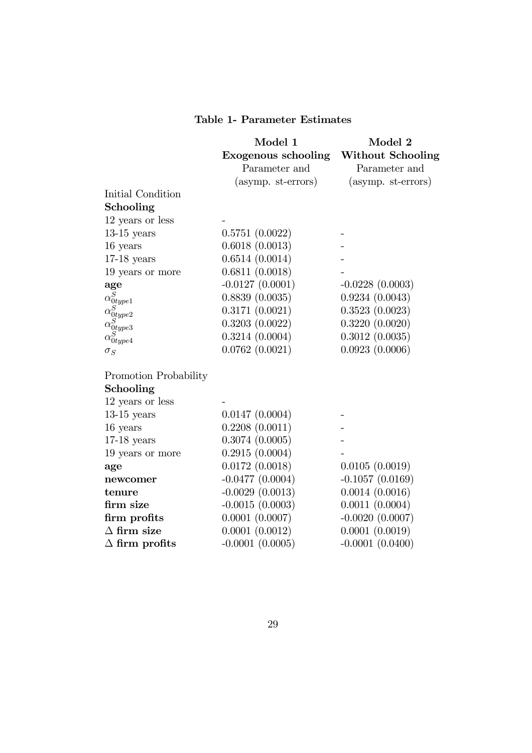### Table 1- Parameter Estimates

|                                                                                      | Model 1<br><b>Exogenous schooling</b><br>Parameter and | Model 2<br><b>Without Schooling</b><br>Parameter and |
|--------------------------------------------------------------------------------------|--------------------------------------------------------|------------------------------------------------------|
|                                                                                      | (asymp. st-errors)                                     | $(asymp. st-errors)$                                 |
| Initial Condition                                                                    |                                                        |                                                      |
| Schooling                                                                            |                                                        |                                                      |
| 12 years or less                                                                     |                                                        |                                                      |
| $13-15$ years                                                                        | 0.5751(0.0022)                                         |                                                      |
| 16 years                                                                             | 0.6018(0.0013)                                         |                                                      |
| $17-18$ years                                                                        | 0.6514(0.0014)                                         |                                                      |
| 19 years or more                                                                     | 0.6811(0.0018)                                         |                                                      |
| age                                                                                  | $-0.0127(0.0001)$                                      | $-0.0228(0.0003)$                                    |
|                                                                                      | 0.8839(0.0035)                                         | 0.9234(0.0043)                                       |
|                                                                                      | 0.3171(0.0021)                                         | 0.3523(0.0023)                                       |
| $\alpha_{0type1}^{S}\ \alpha_{0type2}^{S}\ \alpha_{0type3}^{S}\ \alpha_{0type4}^{S}$ | 0.3203(0.0022)                                         | 0.3220(0.0020)                                       |
|                                                                                      | 0.3214(0.0004)                                         | 0.3012(0.0035)                                       |
| $\sigma_S$                                                                           | 0.0762(0.0021)                                         | 0.0923(0.0006)                                       |
| Promotion Probability                                                                |                                                        |                                                      |
| Schooling                                                                            |                                                        |                                                      |
| 12 years or less                                                                     |                                                        |                                                      |
| $13-15$ years                                                                        | 0.0147(0.0004)                                         |                                                      |
| 16 years                                                                             | 0.2208(0.0011)                                         |                                                      |
| $17-18$ years                                                                        | 0.3074(0.0005)                                         |                                                      |
| 19 years or more                                                                     | 0.2915(0.0004)                                         |                                                      |
| age                                                                                  | 0.0172(0.0018)                                         | 0.0105(0.0019)                                       |
| newcomer                                                                             | $-0.0477(0.0004)$                                      | $-0.1057(0.0169)$                                    |
| tenure                                                                               | $-0.0029(0.0013)$                                      | 0.0014(0.0016)                                       |
| firm size                                                                            | $-0.0015(0.0003)$                                      | 0.0011(0.0004)                                       |
| firm profits                                                                         | $0.0001$ $(0.0007)$                                    | $-0.0020$ $(0.0007)$                                 |
| $\Delta$ firm size                                                                   | 0.0001(0.0012)                                         | 0.0001(0.0019)                                       |
| $\Delta$ firm profits                                                                | $-0.0001$ $(0.0005)$                                   | $-0.0001(0.0400)$                                    |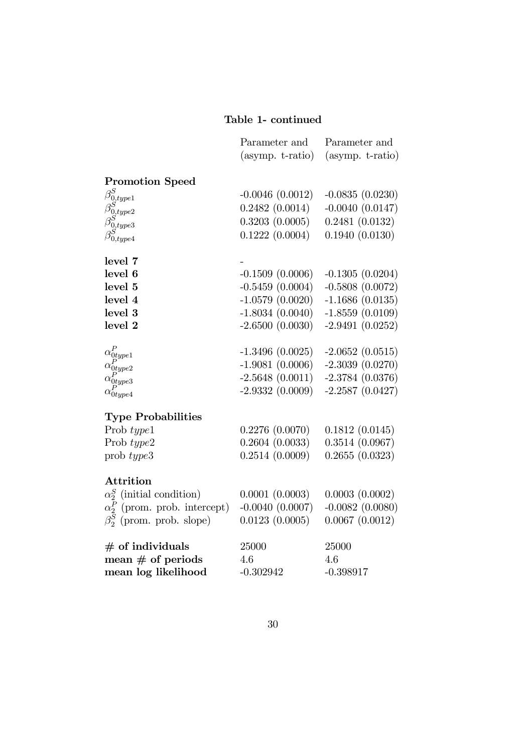## Table 1- continued

|                                                                                         | Parameter and        | Parameter and        |
|-----------------------------------------------------------------------------------------|----------------------|----------------------|
|                                                                                         | $(asymp. t-ratio)$   | $(asymp. t-ratio)$   |
|                                                                                         |                      |                      |
| <b>Promotion Speed</b>                                                                  |                      |                      |
|                                                                                         | $-0.0046(0.0012)$    | $-0.0835(0.0230)$    |
|                                                                                         | 0.2482(0.0014)       | $-0.0040$ $(0.0147)$ |
|                                                                                         | 0.3203(0.0005)       | 0.2481(0.0132)       |
| $\beta_{0, type1}^S \ \beta_{0, type2}^S \ \beta_{0, type3}^S \ \beta_{0, type4}^S$     | 0.1222(0.0004)       | 0.1940(0.0130)       |
|                                                                                         |                      |                      |
| level 7                                                                                 |                      |                      |
| level 6                                                                                 | $-0.1509(0.0006)$    | $-0.1305(0.0204)$    |
| level 5                                                                                 | $-0.5459(0.0004)$    | $-0.5808(0.0072)$    |
| level 4                                                                                 | $-1.0579(0.0020)$    | $-1.1686(0.0135)$    |
| level 3                                                                                 | $-1.8034(0.0040)$    | $-1.8559(0.0109)$    |
| level 2                                                                                 | $-2.6500(0.0030)$    | $-2.9491(0.0252)$    |
|                                                                                         | $-1.3496(0.0025)$    | $-2.0652(0.0515)$    |
|                                                                                         | $-1.9081(0.0006)$    | $-2.3039(0.0270)$    |
| $\alpha_{0type1}^{P} \ \alpha_{0type2}^{P} \ \alpha_{0type3}^{P} \ \alpha_{0type4}^{P}$ |                      |                      |
|                                                                                         | $-2.5648(0.0011)$    | $-2.3784(0.0376)$    |
|                                                                                         | $-2.9332(0.0009)$    | $-2.2587(0.0427)$    |
| <b>Type Probabilities</b>                                                               |                      |                      |
| Prob type1                                                                              | 0.2276(0.0070)       | 0.1812(0.0145)       |
| Prob type2                                                                              | 0.2604(0.0033)       | 0.3514(0.0967)       |
| prob type3                                                                              | 0.2514(0.0009)       | 0.2655(0.0323)       |
|                                                                                         |                      |                      |
| <b>Attrition</b>                                                                        |                      |                      |
| $\alpha_2^S$ (initial condition)                                                        | 0.0001(0.0003)       | 0.0003(0.0002)       |
| $\alpha_2^P$ (prom. prob. intercept)                                                    | $-0.0040$ $(0.0007)$ | $-0.0082$ $(0.0080)$ |
| $\beta_2^S$ (prom. prob. slope)                                                         | 0.0123(0.0005)       | 0.0067(0.0012)       |
| $#$ of individuals                                                                      | 25000                | 25000                |
| mean $#$ of periods                                                                     | 4.6                  | 4.6                  |
| mean log likelihood                                                                     | $-0.302942$          | $-0.398917$          |
|                                                                                         |                      |                      |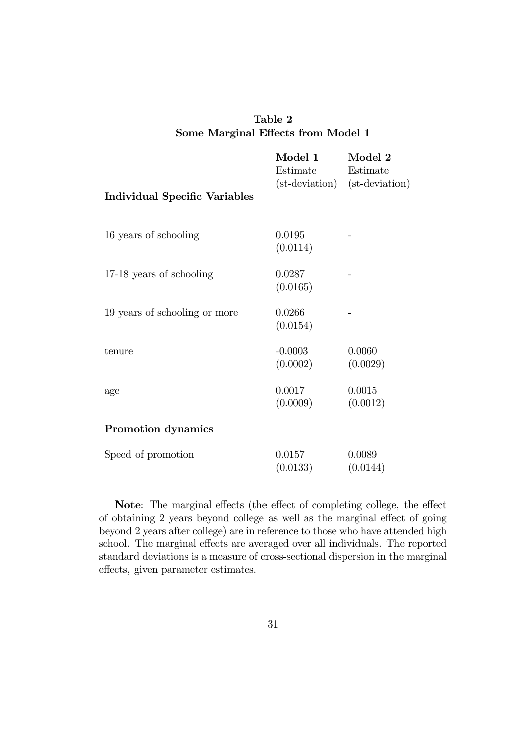|                                    | Table 2 |  |  |
|------------------------------------|---------|--|--|
| Some Marginal Effects from Model 1 |         |  |  |

| <b>Individual Specific Variables</b> | Model 1<br>Estimate<br>(st-deviation) | Model 2<br>Estimate<br>(st-deviation) |
|--------------------------------------|---------------------------------------|---------------------------------------|
| 16 years of schooling                | 0.0195                                |                                       |
|                                      | (0.0114)                              |                                       |
| 17-18 years of schooling             | 0.0287                                |                                       |
|                                      | (0.0165)                              |                                       |
| 19 years of schooling or more        | 0.0266<br>(0.0154)                    |                                       |
| tenure                               | $-0.0003$                             | 0.0060                                |
|                                      | (0.0002)                              | (0.0029)                              |
| age                                  | 0.0017                                | 0.0015                                |
|                                      | (0.0009)                              | (0.0012)                              |
| Promotion dynamics                   |                                       |                                       |
| Speed of promotion                   | 0.0157                                | 0.0089                                |
|                                      | (0.0133)                              | (0.0144)                              |

Note: The marginal effects (the effect of completing college, the effect of obtaining 2 years beyond college as well as the marginal effect of going beyond 2 years after college) are in reference to those who have attended high school. The marginal effects are averaged over all individuals. The reported standard deviations is a measure of cross-sectional dispersion in the marginal effects, given parameter estimates.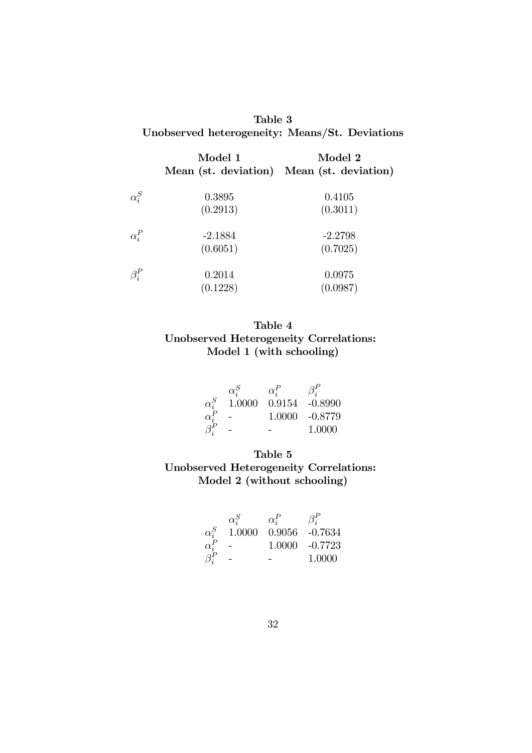| Table 3                                        |  |
|------------------------------------------------|--|
| Unobserved heterogeneity: Means/St. Deviations |  |

|              | Model 1<br>Mean (st. deviation) Mean (st. deviation) | Model 2   |
|--------------|------------------------------------------------------|-----------|
| $\alpha_i^S$ | 0.3895                                               | 0.4105    |
|              | (0.2913)                                             | (0.3011)  |
| $\alpha_i^P$ | $-2.1884$                                            | $-2.2798$ |
|              | (0.6051)                                             | (0.7025)  |
| $\beta_i^P$  | 0.2014                                               | 0.0975    |
|              | (0.1228)                                             | (0.0987)  |

### Table 4 Unobserved Heterogeneity Correlations: Model 1 (with schooling)

|              | $\alpha_i^S$ | $\alpha_i^P$ | $\beta_i^P$    |
|--------------|--------------|--------------|----------------|
| $\alpha_s^S$ | 1.0000       |              | 0.9154 -0.8990 |
| $\alpha_i^P$ | -            |              | 1.0000 -0.8779 |
| $\beta_i^P$  |              |              | 1.0000         |

### Table 5 Unobserved Heterogeneity Correlations: Model 2 (without schooling)

|              | $\alpha^S_i$ | $\alpha_i^P$ | $\beta_i^P$       |
|--------------|--------------|--------------|-------------------|
| $\alpha^S_i$ | 1.0000       |              | $0.9056 - 0.7634$ |
| $\alpha_i^P$ |              |              | 1.0000 -0.7723    |
| $\beta_i^P$  |              |              | 1.0000            |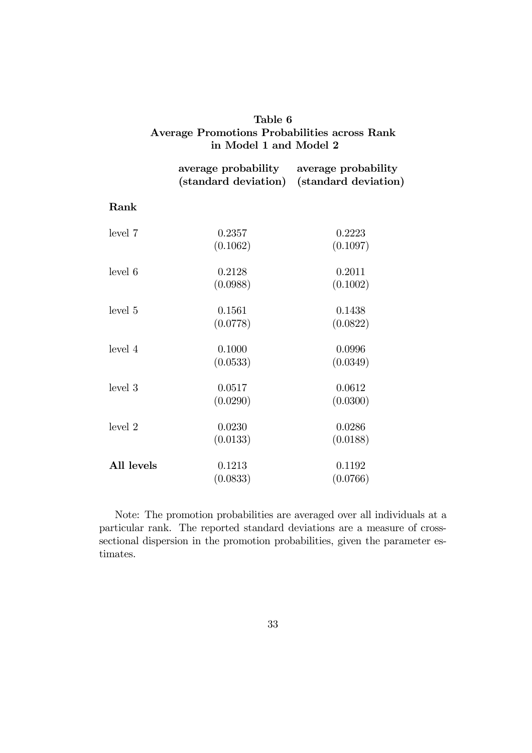| Table 6                                      |  |  |
|----------------------------------------------|--|--|
| Average Promotions Probabilities across Rank |  |  |
| in Model 1 and Model 2                       |  |  |

|            | average probability average probability<br>(standard deviation) | (standard deviation) |
|------------|-----------------------------------------------------------------|----------------------|
| Rank       |                                                                 |                      |
| level 7    | 0.2357                                                          | 0.2223               |
|            | (0.1062)                                                        | (0.1097)             |
| level 6    | 0.2128                                                          | 0.2011               |
|            | (0.0988)                                                        | (0.1002)             |
| level 5    | 0.1561                                                          | 0.1438               |
|            | (0.0778)                                                        | (0.0822)             |
| level 4    | 0.1000                                                          | 0.0996               |
|            | (0.0533)                                                        | (0.0349)             |
| level 3    | 0.0517                                                          | 0.0612               |
|            | (0.0290)                                                        | (0.0300)             |
| level 2    | 0.0230                                                          | 0.0286               |
|            | (0.0133)                                                        | (0.0188)             |
| All levels | 0.1213                                                          | 0.1192               |
|            | (0.0833)                                                        | (0.0766)             |

Note: The promotion probabilities are averaged over all individuals at a particular rank. The reported standard deviations are a measure of crosssectional dispersion in the promotion probabilities, given the parameter estimates.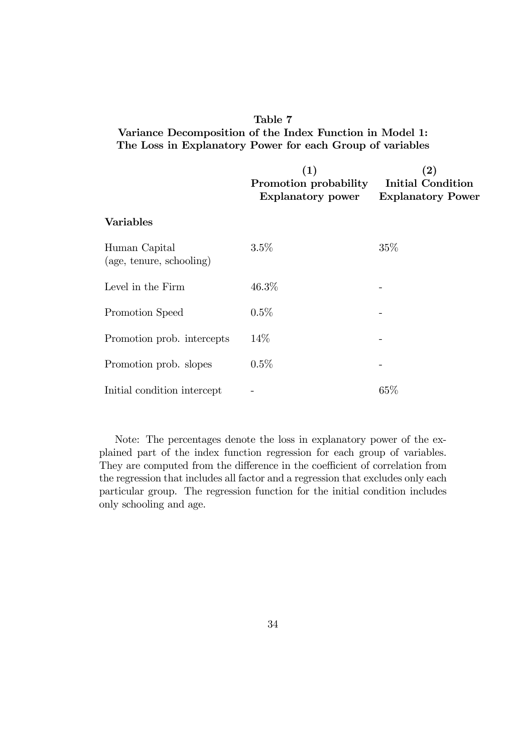### Table 7 Variance Decomposition of the Index Function in Model 1: The Loss in Explanatory Power for each Group of variables

|                                           | (1)<br>Promotion probability<br><b>Explanatory power</b> | $\bf (2)$<br><b>Initial Condition</b><br><b>Explanatory Power</b> |
|-------------------------------------------|----------------------------------------------------------|-------------------------------------------------------------------|
| <b>Variables</b>                          |                                                          |                                                                   |
| Human Capital<br>(age, tenure, schooling) | 3.5%                                                     | $35\%$                                                            |
| Level in the Firm                         | 46.3%                                                    |                                                                   |
| Promotion Speed                           | 0.5%                                                     |                                                                   |
| Promotion prob. intercepts                | $14\%$                                                   |                                                                   |
| Promotion prob. slopes                    | $0.5\%$                                                  |                                                                   |
| Initial condition intercept               |                                                          | $65\%$                                                            |

Note: The percentages denote the loss in explanatory power of the explained part of the index function regression for each group of variables. They are computed from the difference in the coefficient of correlation from the regression that includes all factor and a regression that excludes only each particular group. The regression function for the initial condition includes only schooling and age.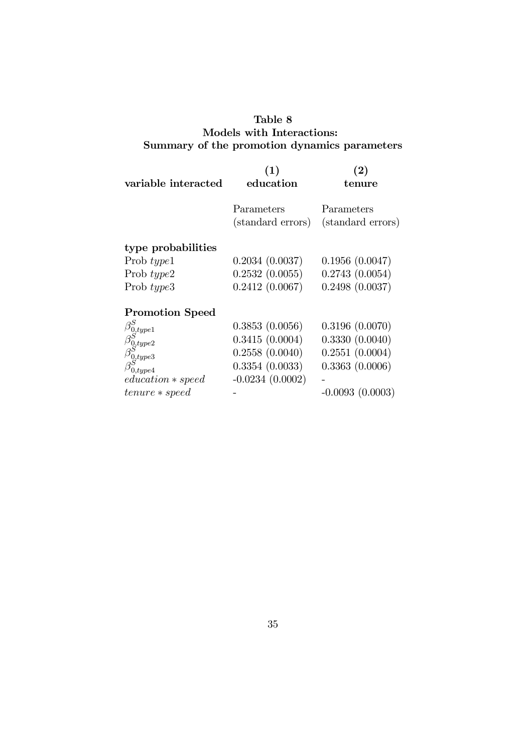### Table 8 Models with Interactions: Summary of the promotion dynamics parameters

| variable interacted                                            | (1)<br>education                | $\bf(2)$<br>tenure              |
|----------------------------------------------------------------|---------------------------------|---------------------------------|
|                                                                | Parameters<br>(standard errors) | Parameters<br>(standard errors) |
| type probabilities                                             |                                 |                                 |
| Prob $type1$                                                   | 0.2034(0.0037)                  | 0.1956(0.0047)                  |
| Prob $type2$                                                   | 0.2532(0.0055)                  | 0.2743(0.0054)                  |
| Prob type3                                                     | 0.2412(0.0067)                  | 0.2498(0.0037)                  |
| <b>Promotion Speed</b>                                         |                                 |                                 |
| $\beta_{0, type1}^S \ \beta_{0, type2}^S \ \beta_{0, type3}^S$ | 0.3853(0.0056)                  | 0.3196(0.0070)                  |
|                                                                | 0.3415(0.0004)                  | 0.3330(0.0040)                  |
|                                                                | 0.2558(0.0040)                  | 0.2551(0.0004)                  |
| $\beta_{0, type4}^{\circ}$                                     | 0.3354(0.0033)                  | 0.3363(0.0006)                  |
| $education * speed$                                            | $-0.0234(0.0002)$               |                                 |
| $t$ enure $*$ speed                                            |                                 | $-0.0093(0.0003)$               |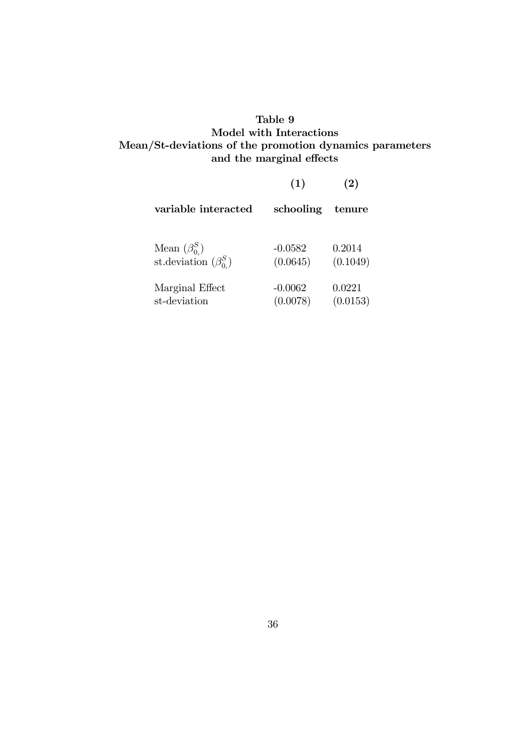### Table 9 Model with Interactions Mean/St-deviations of the promotion dynamics parameters and the marginal effects

|                             | (1)       | (2)      |
|-----------------------------|-----------|----------|
| variable interacted         | schooling | tenure   |
| Mean $(\beta_{0}^{S})$      | $-0.0582$ | 0.2014   |
| st. deviation $(\beta_0^S)$ | (0.0645)  | (0.1049) |
| Marginal Effect             | $-0.0062$ | 0.0221   |
| st-deviation                | (0.0078)  | (0.0153) |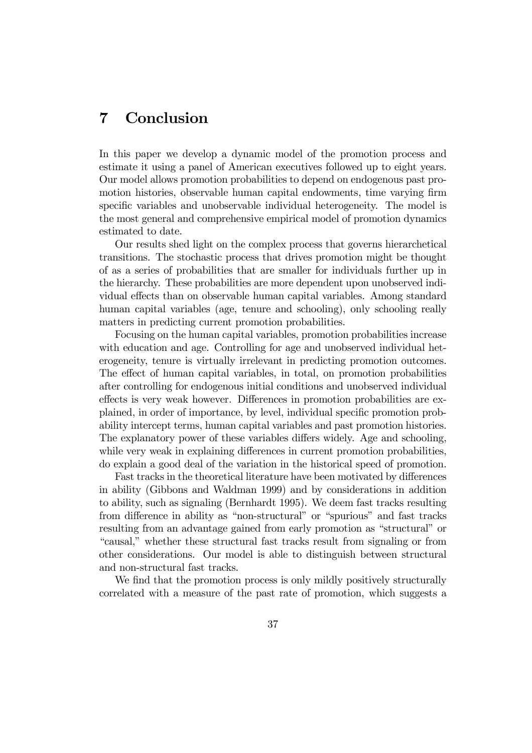# 7 Conclusion

In this paper we develop a dynamic model of the promotion process and estimate it using a panel of American executives followed up to eight years. Our model allows promotion probabilities to depend on endogenous past promotion histories, observable human capital endowments, time varying firm specific variables and unobservable individual heterogeneity. The model is the most general and comprehensive empirical model of promotion dynamics estimated to date.

Our results shed light on the complex process that governs hierarchetical transitions. The stochastic process that drives promotion might be thought of as a series of probabilities that are smaller for individuals further up in the hierarchy. These probabilities are more dependent upon unobserved individual effects than on observable human capital variables. Among standard human capital variables (age, tenure and schooling), only schooling really matters in predicting current promotion probabilities.

Focusing on the human capital variables, promotion probabilities increase with education and age. Controlling for age and unobserved individual heterogeneity, tenure is virtually irrelevant in predicting promotion outcomes. The effect of human capital variables, in total, on promotion probabilities after controlling for endogenous initial conditions and unobserved individual effects is very weak however. Differences in promotion probabilities are explained, in order of importance, by level, individual specific promotion probability intercept terms, human capital variables and past promotion histories. The explanatory power of these variables differs widely. Age and schooling, while very weak in explaining differences in current promotion probabilities, do explain a good deal of the variation in the historical speed of promotion.

Fast tracks in the theoretical literature have been motivated by differences in ability (Gibbons and Waldman 1999) and by considerations in addition to ability, such as signaling (Bernhardt 1995). We deem fast tracks resulting from difference in ability as "non-structural" or "spurious" and fast tracks resulting from an advantage gained from early promotion as "structural" or "causal," whether these structural fast tracks result from signaling or from other considerations. Our model is able to distinguish between structural and non-structural fast tracks.

We find that the promotion process is only mildly positively structurally correlated with a measure of the past rate of promotion, which suggests a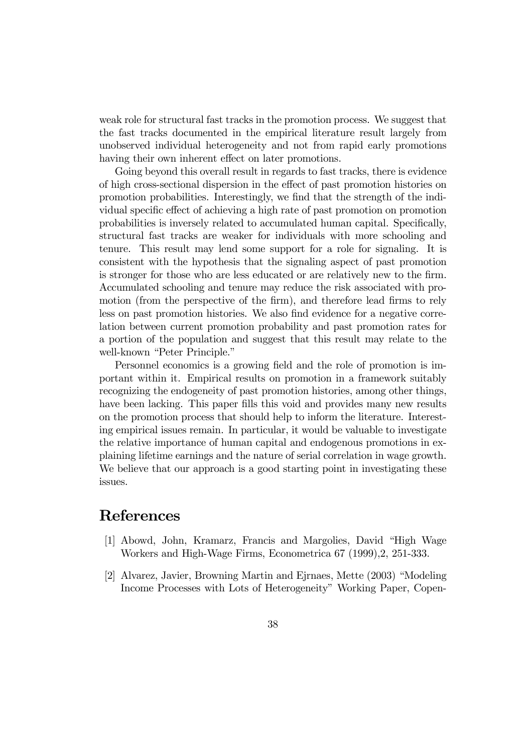weak role for structural fast tracks in the promotion process. We suggest that the fast tracks documented in the empirical literature result largely from unobserved individual heterogeneity and not from rapid early promotions having their own inherent effect on later promotions.

Going beyond this overall result in regards to fast tracks, there is evidence of high cross-sectional dispersion in the effect of past promotion histories on promotion probabilities. Interestingly, we find that the strength of the individual specific effect of achieving a high rate of past promotion on promotion probabilities is inversely related to accumulated human capital. Specifically, structural fast tracks are weaker for individuals with more schooling and tenure. This result may lend some support for a role for signaling. It is consistent with the hypothesis that the signaling aspect of past promotion is stronger for those who are less educated or are relatively new to the firm. Accumulated schooling and tenure may reduce the risk associated with promotion (from the perspective of the firm), and therefore lead firms to rely less on past promotion histories. We also find evidence for a negative correlation between current promotion probability and past promotion rates for a portion of the population and suggest that this result may relate to the well-known "Peter Principle."

Personnel economics is a growing field and the role of promotion is important within it. Empirical results on promotion in a framework suitably recognizing the endogeneity of past promotion histories, among other things, have been lacking. This paper fills this void and provides many new results on the promotion process that should help to inform the literature. Interesting empirical issues remain. In particular, it would be valuable to investigate the relative importance of human capital and endogenous promotions in explaining lifetime earnings and the nature of serial correlation in wage growth. We believe that our approach is a good starting point in investigating these issues.

# References

- [1] Abowd, John, Kramarz, Francis and Margolies, David "High Wage Workers and High-Wage Firms, Econometrica 67 (1999),2, 251-333.
- [2] Alvarez, Javier, Browning Martin and Ejrnaes, Mette (2003) "Modeling Income Processes with Lots of Heterogeneity" Working Paper, Copen-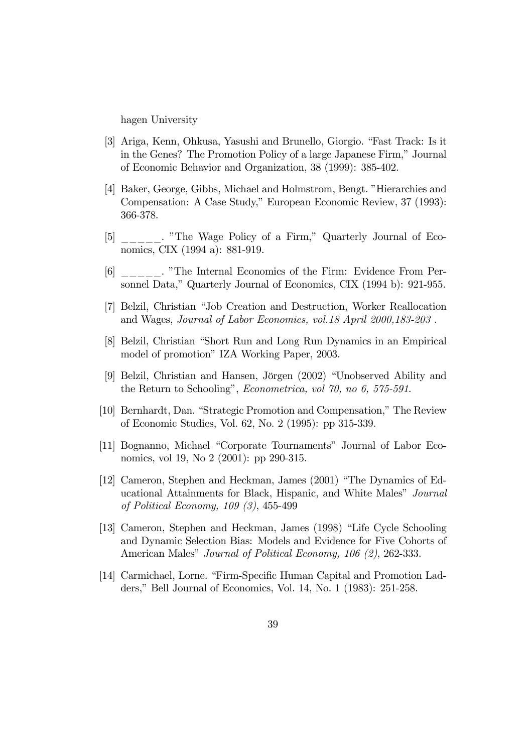hagen University

- [3] Ariga, Kenn, Ohkusa, Yasushi and Brunello, Giorgio. "Fast Track: Is it in the Genes? The Promotion Policy of a large Japanese Firm," Journal of Economic Behavior and Organization, 38 (1999): 385-402.
- [4] Baker, George, Gibbs, Michael and Holmstrom, Bengt. "Hierarchies and Compensation: A Case Study," European Economic Review, 37 (1993): 366-378.
- [5] \_\_\_\_\_. "The Wage Policy of a Firm," Quarterly Journal of Economics, CIX (1994 a): 881-919.
- [6] \_\_\_\_\_. "The Internal Economics of the Firm: Evidence From Personnel Data," Quarterly Journal of Economics, CIX (1994 b): 921-955.
- [7] Belzil, Christian "Job Creation and Destruction, Worker Reallocation and Wages, Journal of Labor Economics, vol.18 April 2000,183-203 .
- [8] Belzil, Christian "Short Run and Long Run Dynamics in an Empirical model of promotion" IZA Working Paper, 2003.
- [9] Belzil, Christian and Hansen, Jörgen (2002) "Unobserved Ability and the Return to Schooling", Econometrica, vol 70, no 6, 575-591.
- [10] Bernhardt, Dan. "Strategic Promotion and Compensation," The Review of Economic Studies, Vol. 62, No. 2 (1995): pp 315-339.
- [11] Bognanno, Michael "Corporate Tournaments" Journal of Labor Economics, vol 19, No 2 (2001): pp 290-315.
- [12] Cameron, Stephen and Heckman, James (2001) "The Dynamics of Educational Attainments for Black, Hispanic, and White Males" Journal of Political Economy, 109 (3), 455-499
- [13] Cameron, Stephen and Heckman, James (1998) "Life Cycle Schooling and Dynamic Selection Bias: Models and Evidence for Five Cohorts of American Males" Journal of Political Economy, 106 (2), 262-333.
- [14] Carmichael, Lorne. "Firm-Specific Human Capital and Promotion Ladders," Bell Journal of Economics, Vol. 14, No. 1 (1983): 251-258.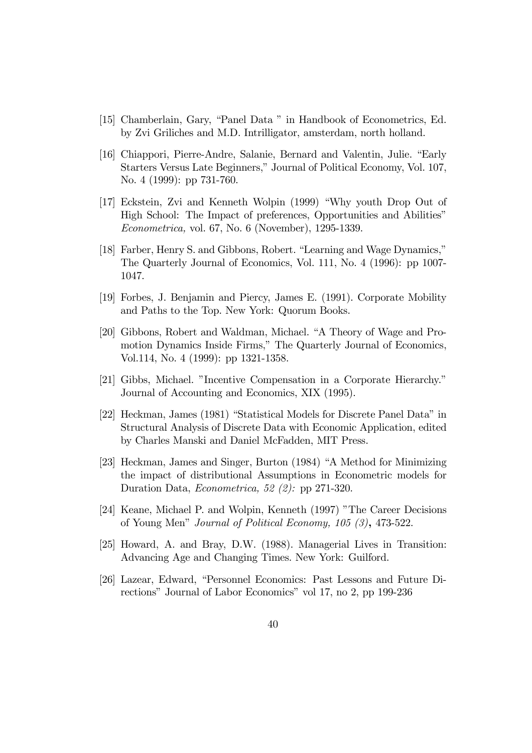- [15] Chamberlain, Gary, "Panel Data " in Handbook of Econometrics, Ed. by Zvi Griliches and M.D. Intrilligator, amsterdam, north holland.
- [16] Chiappori, Pierre-Andre, Salanie, Bernard and Valentin, Julie. "Early Starters Versus Late Beginners," Journal of Political Economy, Vol. 107, No. 4 (1999): pp 731-760.
- [17] Eckstein, Zvi and Kenneth Wolpin (1999) "Why youth Drop Out of High School: The Impact of preferences, Opportunities and Abilities" Econometrica, vol. 67, No. 6 (November), 1295-1339.
- [18] Farber, Henry S. and Gibbons, Robert. "Learning and Wage Dynamics," The Quarterly Journal of Economics, Vol. 111, No. 4 (1996): pp 1007- 1047.
- [19] Forbes, J. Benjamin and Piercy, James E. (1991). Corporate Mobility and Paths to the Top. New York: Quorum Books.
- [20] Gibbons, Robert and Waldman, Michael. "A Theory of Wage and Promotion Dynamics Inside Firms," The Quarterly Journal of Economics, Vol.114, No. 4 (1999): pp 1321-1358.
- [21] Gibbs, Michael. "Incentive Compensation in a Corporate Hierarchy." Journal of Accounting and Economics, XIX (1995).
- [22] Heckman, James (1981) "Statistical Models for Discrete Panel Data" in Structural Analysis of Discrete Data with Economic Application, edited by Charles Manski and Daniel McFadden, MIT Press.
- [23] Heckman, James and Singer, Burton (1984) "A Method for Minimizing the impact of distributional Assumptions in Econometric models for Duration Data, Econometrica, 52 (2): pp 271-320.
- [24] Keane, Michael P. and Wolpin, Kenneth (1997) "The Career Decisions of Young Men" Journal of Political Economy, 105 (3), 473-522.
- [25] Howard, A. and Bray, D.W. (1988). Managerial Lives in Transition: Advancing Age and Changing Times. New York: Guilford.
- [26] Lazear, Edward, "Personnel Economics: Past Lessons and Future Directions" Journal of Labor Economics" vol 17, no 2, pp 199-236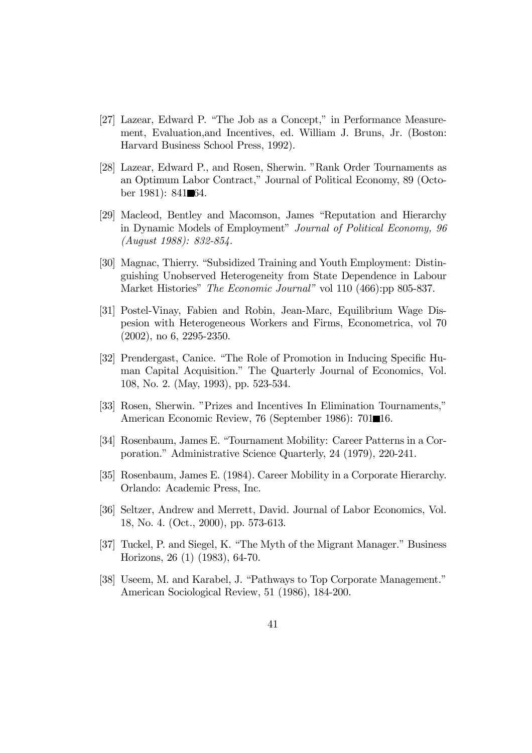- [27] Lazear, Edward P. "The Job as a Concept," in Performance Measurement, Evaluation,and Incentives, ed. William J. Bruns, Jr. (Boston: Harvard Business School Press, 1992).
- [28] Lazear, Edward P., and Rosen, Sherwin. "Rank Order Tournaments as an Optimum Labor Contract," Journal of Political Economy, 89 (October 1981): 841 $\blacksquare$ 64.
- [29] Macleod, Bentley and Macomson, James "Reputation and Hierarchy in Dynamic Models of Employment" Journal of Political Economy, 96 (August 1988): 832-854.
- [30] Magnac, Thierry. "Subsidized Training and Youth Employment: Distinguishing Unobserved Heterogeneity from State Dependence in Labour Market Histories" *The Economic Journal*" vol 110 (466):pp 805-837.
- [31] Postel-Vinay, Fabien and Robin, Jean-Marc, Equilibrium Wage Dispesion with Heterogeneous Workers and Firms, Econometrica, vol 70 (2002), no 6, 2295-2350.
- [32] Prendergast, Canice. "The Role of Promotion in Inducing Specific Human Capital Acquisition." The Quarterly Journal of Economics, Vol. 108, No. 2. (May, 1993), pp. 523-534.
- [33] Rosen, Sherwin. "Prizes and Incentives In Elimination Tournaments," American Economic Review, 76 (September 1986): 701116.
- [34] Rosenbaum, James E. "Tournament Mobility: Career Patterns in a Corporation." Administrative Science Quarterly, 24 (1979), 220-241.
- [35] Rosenbaum, James E. (1984). Career Mobility in a Corporate Hierarchy. Orlando: Academic Press, Inc.
- [36] Seltzer, Andrew and Merrett, David. Journal of Labor Economics, Vol. 18, No. 4. (Oct., 2000), pp. 573-613.
- [37] Tuckel, P. and Siegel, K. "The Myth of the Migrant Manager." Business Horizons, 26 (1) (1983), 64-70.
- [38] Useem, M. and Karabel, J. "Pathways to Top Corporate Management." American Sociological Review, 51 (1986), 184-200.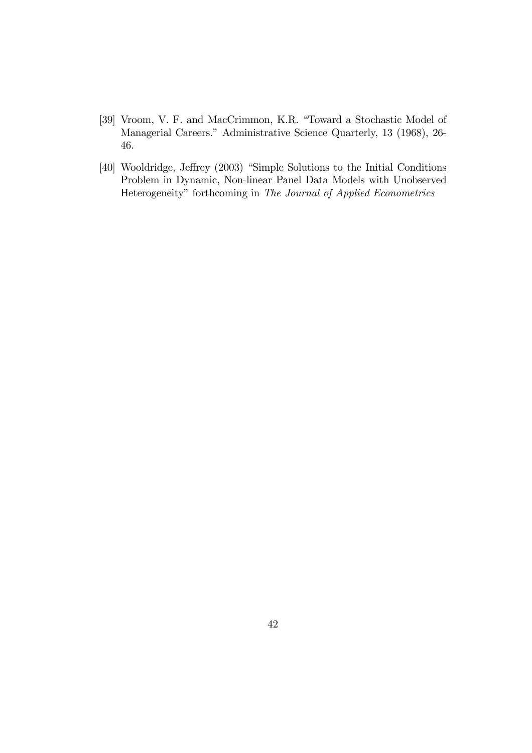- [39] Vroom, V. F. and MacCrimmon, K.R. "Toward a Stochastic Model of Managerial Careers." Administrative Science Quarterly, 13 (1968), 26- 46.
- [40] Wooldridge, Jeffrey (2003) "Simple Solutions to the Initial Conditions Problem in Dynamic, Non-linear Panel Data Models with Unobserved Heterogeneity" forthcoming in The Journal of Applied Econometrics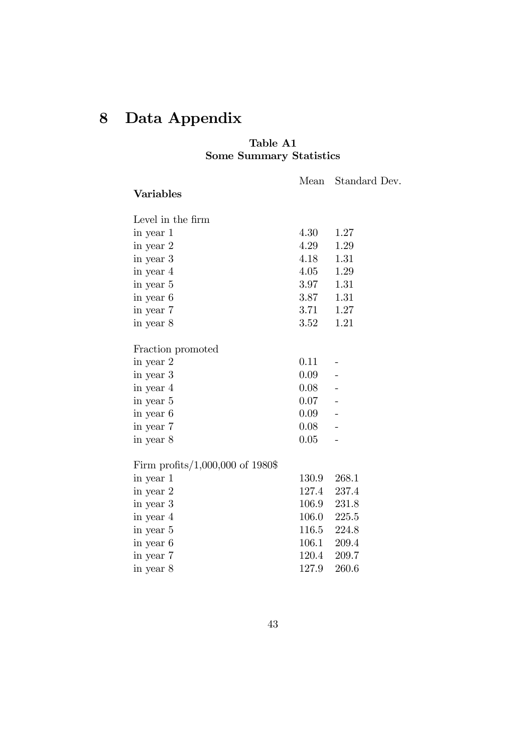# 8 Data Appendix

### Table A1 Some Summary Statistics

Mean Standard Dev.

| Level in the firm                   |          |       |
|-------------------------------------|----------|-------|
| in year 1                           | 4.30     | 1.27  |
| in year 2                           | 4.29     | 1.29  |
| in year 3                           | 4.18     | 1.31  |
| in year 4                           | 4.05     | 1.29  |
| in year 5                           | 3.97     | 1.31  |
| in year 6                           | 3.87     | 1.31  |
| in year 7                           | 3.71     | 1.27  |
| in year 8                           | 3.52     | 1.21  |
|                                     |          |       |
| Fraction promoted                   |          |       |
| in year 2                           | 0.11     |       |
| in year 3                           | $0.09 -$ |       |
| in year 4                           | 0.08     |       |
| in year 5                           | $0.07 -$ |       |
| in year 6                           | $0.09 -$ |       |
| in year 7                           | 0.08     |       |
| in year 8                           | 0.05     |       |
|                                     |          |       |
| Firm profits/ $1,000,000$ of 1980\$ |          |       |
| in year 1                           | 130.9    | 268.1 |
| in year 2                           | 127.4    | 237.4 |
| in year 3                           | 106.9    | 231.8 |
| in year 4                           | 106.0    | 225.5 |
| in year 5                           | 116.5    | 224.8 |
| in year 6                           | 106.1    | 209.4 |
| in year 7                           | 120.4    | 209.7 |
| in year 8                           | 127.9    | 260.6 |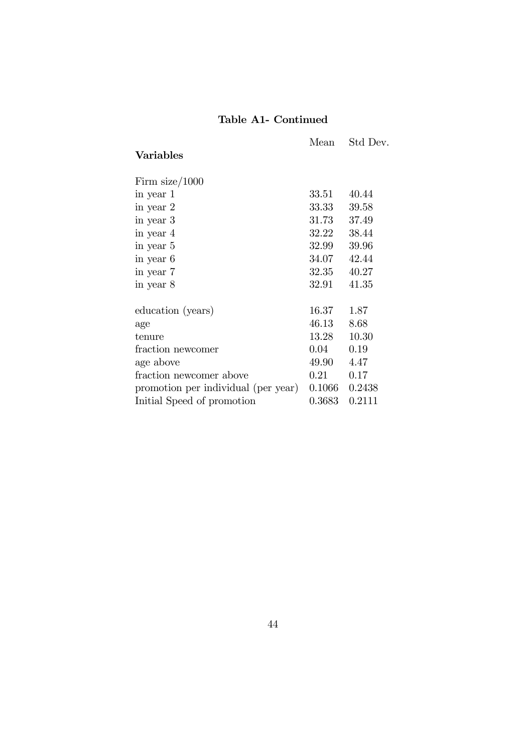# Table A1- Continued

| <b>Variables</b>                    | Mean   | Std Dev. |
|-------------------------------------|--------|----------|
| Firm $size/1000$                    |        |          |
| in year 1                           | 33.51  | 40.44    |
| in year 2                           | 33.33  | 39.58    |
| in year 3                           | 31.73  | 37.49    |
| in year 4                           | 32.22  | 38.44    |
| in year 5                           | 32.99  | 39.96    |
| in year 6                           | 34.07  | 42.44    |
| in year 7                           | 32.35  | 40.27    |
| in year 8                           | 32.91  | 41.35    |
| education (years)                   | 16.37  | 1.87     |
| age                                 | 46.13  | 8.68     |
| tenure                              | 13.28  | 10.30    |
| fraction newcomer                   | 0.04   | 0.19     |
| age above                           | 49.90  | 4.47     |
| fraction newcomer above             | 0.21   | 0.17     |
| promotion per individual (per year) | 0.1066 | 0.2438   |
| Initial Speed of promotion          | 0.3683 | 0.2111   |